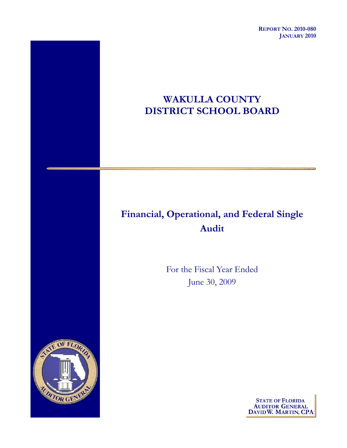**REPORT NO. 2010-080 JANUARY 2010** 

## **WAKULLA COUNTY DISTRICT SCHOOL BOARD**

## **Financial, Operational, and Federal Single Audit**

For the Fiscal Year Ended June 30, 2009



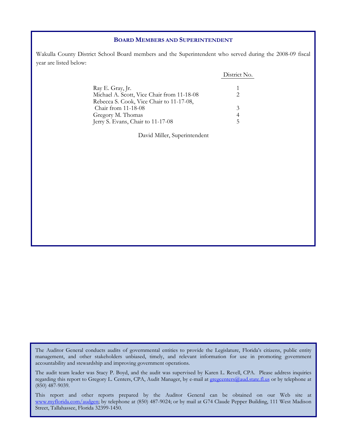#### **BOARD MEMBERS AND SUPERINTENDENT**

Wakulla County District School Board members and the Superintendent who served during the 2008-09 fiscal year are listed below:

|                                            | District No. |
|--------------------------------------------|--------------|
|                                            |              |
| Ray E. Gray, Jr.                           |              |
| Michael A. Scott, Vice Chair from 11-18-08 |              |
| Rebecca S. Cook, Vice Chair to 11-17-08,   |              |
| Chair from 11-18-08                        | 3            |
| Gregory M. Thomas                          | 4            |
| Jerry S. Evans, Chair to 11-17-08          | 5            |

David Miller, Superintendent

The Auditor General conducts audits of governmental entities to provide the Legislature, Florida's citizens, public entity management, and other stakeholders unbiased, timely, and relevant information for use in promoting government accountability and stewardship and improving government operations.

The audit team leader was Stacy P. Boyd, and the audit was supervised by Karen L. Revell, CPA. Please address inquiries regarding this report to Gregory L. Centers, CPA, Audit Manager, by e-mail at gregcenters@aud.state.fl.us or by telephone at (850) 487-9039.

This report and other reports prepared by the Auditor General can be obtained on our Web site at www.myflorida.com/audgen; by telephone at (850) 487-9024; or by mail at G74 Claude Pepper Building, 111 West Madison Street, Tallahassee, Florida 32399-1450.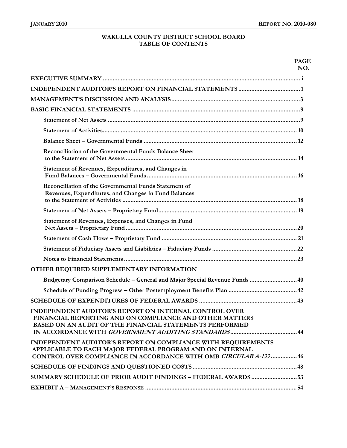#### **WAKULLA COUNTY DISTRICT SCHOOL BOARD TABLE OF CONTENTS**

| PA(j)<br>г. |  |
|-------------|--|
| ſ<br>D      |  |

| Reconciliation of the Governmental Funds Balance Sheet                                                                                                                                               |
|------------------------------------------------------------------------------------------------------------------------------------------------------------------------------------------------------|
| Statement of Revenues, Expenditures, and Changes in                                                                                                                                                  |
| Reconciliation of the Governmental Funds Statement of<br>Revenues, Expenditures, and Changes in Fund Balances                                                                                        |
|                                                                                                                                                                                                      |
| Statement of Revenues, Expenses, and Changes in Fund                                                                                                                                                 |
|                                                                                                                                                                                                      |
|                                                                                                                                                                                                      |
|                                                                                                                                                                                                      |
| OTHER REQUIRED SUPPLEMENTARY INFORMATION                                                                                                                                                             |
| Budgetary Comparison Schedule - General and Major Special Revenue Funds  40                                                                                                                          |
|                                                                                                                                                                                                      |
|                                                                                                                                                                                                      |
| <b>INDEPENDENT AUDITOR'S REPORT ON INTERNAL CONTROL OVER</b><br>FINANCIAL REPORTING AND ON COMPLIANCE AND OTHER MATTERS<br><b>BASED ON AN AUDIT OF THE FINANCIAL STATEMENTS PERFORMED</b>            |
| <b>INDEPENDENT AUDITOR'S REPORT ON COMPLIANCE WITH REQUIREMENTS</b><br>APPLICABLE TO EACH MAJOR FEDERAL PROGRAM AND ON INTERNAL<br>CONTROL OVER COMPLIANCE IN ACCORDANCE WITH OMB CIRCULAR A-133  46 |
|                                                                                                                                                                                                      |
| SUMMARY SCHEDULE OF PRIOR AUDIT FINDINGS - FEDERAL AWARDS  53                                                                                                                                        |
|                                                                                                                                                                                                      |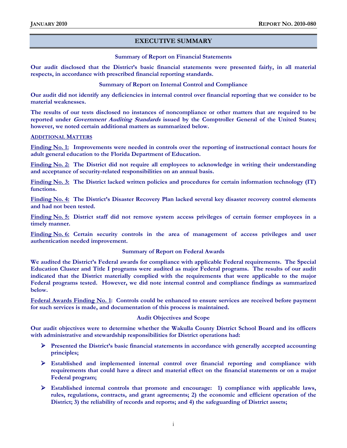#### **EXECUTIVE SUMMARY**

#### **Summary of Report on Financial Statements**

**Our audit disclosed that the District's basic financial statements were presented fairly, in all material respects, in accordance with prescribed financial reporting standards.** 

#### **Summary of Report on Internal Control and Compliance**

**Our audit did not identify any deficiencies in internal control over financial reporting that we consider to be material weaknesses.** 

**The results of our tests disclosed no instances of noncompliance or other matters that are required to be reported under Government Auditing Standards issued by the Comptroller General of the United States; however, we noted certain additional matters as summarized below.**

#### **ADDITIONAL MATTERS**

**Finding No. 1: Improvements were needed in controls over the reporting of instructional contact hours for adult general education to the Florida Department of Education.** 

**Finding No. 2: The District did not require all employees to acknowledge in writing their understanding and acceptance of security-related responsibilities on an annual basis.** 

**Finding No. 3: The District lacked written policies and procedures for certain information technology (IT) functions.** 

**Finding No. 4: The District's Disaster Recovery Plan lacked several key disaster recovery control elements and had not been tested.** 

**Finding No. 5: District staff did not remove system access privileges of certain former employees in a timely manner.** 

**Finding No. 6: Certain security controls in the area of management of access privileges and user authentication needed improvement.** 

#### **Summary of Report on Federal Awards**

**We audited the District's Federal awards for compliance with applicable Federal requirements. The Special Education Cluster and Title I programs were audited as major Federal programs. The results of our audit indicated that the District materially complied with the requirements that were applicable to the major Federal programs tested. However, we did note internal control and compliance findings as summarized below.** 

**Federal Awards Finding No. 1: Controls could be enhanced to ensure services are received before payment for such services is made, and documentation of this process is maintained.** 

#### **Audit Objectives and Scope**

**Our audit objectives were to determine whether the Wakulla County District School Board and its officers with administrative and stewardship responsibilities for District operations had:** 

- ¾ **Presented the District's basic financial statements in accordance with generally accepted accounting principles;**
- ¾ **Established and implemented internal control over financial reporting and compliance with requirements that could have a direct and material effect on the financial statements or on a major Federal program;**
- ¾ **Established internal controls that promote and encourage: 1) compliance with applicable laws, rules, regulations, contracts, and grant agreements; 2) the economic and efficient operation of the District; 3) the reliability of records and reports; and 4) the safeguarding of District assets;**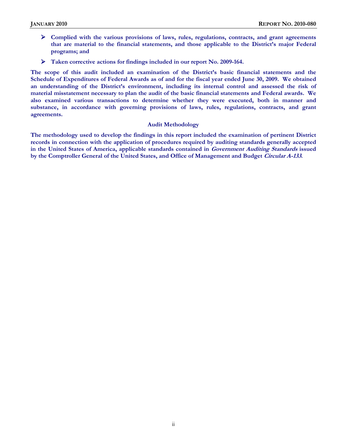- ¾ **Complied with the various provisions of laws, rules, regulations, contracts, and grant agreements that are material to the financial statements, and those applicable to the District's major Federal programs; and**
- ¾ **Taken corrective actions for findings included in our report No. 2009-164.**

**The scope of this audit included an examination of the District's basic financial statements and the Schedule of Expenditures of Federal Awards as of and for the fiscal year ended June 30, 2009. We obtained an understanding of the District's environment, including its internal control and assessed the risk of material misstatement necessary to plan the audit of the basic financial statements and Federal awards. We also examined various transactions to determine whether they were executed, both in manner and substance, in accordance with governing provisions of laws, rules, regulations, contracts, and grant agreements.** 

#### **Audit Methodology**

**The methodology used to develop the findings in this report included the examination of pertinent District records in connection with the application of procedures required by auditing standards generally accepted in the United States of America, applicable standards contained in Government Auditing Standards issued by the Comptroller General of the United States, and Office of Management and Budget Circular A-133.**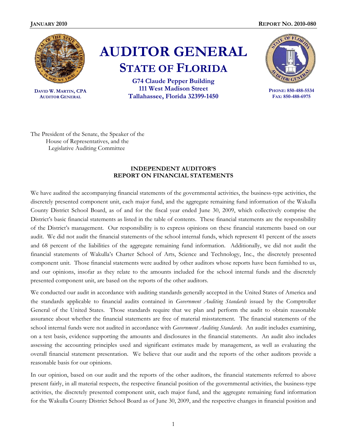

**DAVID W. MARTIN, CPA AUDITOR GENERAL**

# **AUDITOR GENERAL STATE OF FLORIDA**

**G74 Claude Pepper Building 111 West Madison Street Tallahassee, Florida 32399-1450** 



**PHONE: 850-488-5534 FAX: 850-488-6975** 

The President of the Senate, the Speaker of the House of Representatives, and the Legislative Auditing Committee

#### **INDEPENDENT AUDITOR'S REPORT ON FINANCIAL STATEMENTS**

We have audited the accompanying financial statements of the governmental activities, the business-type activities, the discretely presented component unit, each major fund, and the aggregate remaining fund information of the Wakulla County District School Board, as of and for the fiscal year ended June 30, 2009, which collectively comprise the District's basic financial statements as listed in the table of contents.These financial statements are the responsibility of the District's management. Our responsibility is to express opinions on these financial statements based on our audit. We did not audit the financial statements of the school internal funds, which represent 41 percent of the assets and 68 percent of the liabilities of the aggregate remaining fund information. Additionally, we did not audit the financial statements of Wakulla's Charter School of Arts, Science and Technology, Inc., the discretely presented component unit. Those financial statements were audited by other auditors whose reports have been furnished to us, and our opinions, insofar as they relate to the amounts included for the school internal funds and the discretely presented component unit, are based on the reports of the other auditors.

We conducted our audit in accordance with auditing standards generally accepted in the United States of America and the standards applicable to financial audits contained in *Government Auditing Standards* issued by the Comptroller General of the United States. Those standards require that we plan and perform the audit to obtain reasonable assurance about whether the financial statements are free of material misstatement. The financial statements of the school internal funds were not audited in accordance with *Government Auditing Standards*. An audit includes examining, on a test basis, evidence supporting the amounts and disclosures in the financial statements. An audit also includes assessing the accounting principles used and significant estimates made by management, as well as evaluating the overall financial statement presentation. We believe that our audit and the reports of the other auditors provide a reasonable basis for our opinions.

In our opinion, based on our audit and the reports of the other auditors, the financial statements referred to above present fairly, in all material respects, the respective financial position of the governmental activities, the business-type activities, the discretely presented component unit, each major fund, and the aggregate remaining fund information for the Wakulla County District School Board as of June 30, 2009, and the respective changes in financial position and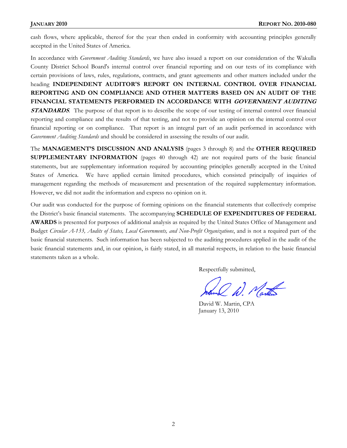cash flows, where applicable, thereof for the year then ended in conformity with accounting principles generally accepted in the United States of America.

In accordance with *Government Auditing Standards*, we have also issued a report on our consideration of the Wakulla County District School Board's internal control over financial reporting and on our tests of its compliance with certain provisions of laws, rules, regulations, contracts, and grant agreements and other matters included under the heading **INDEPENDENT AUDITOR'S REPORT ON INTERNAL CONTROL OVER FINANCIAL REPORTING AND ON COMPLIANCE AND OTHER MATTERS BASED ON AN AUDIT OF THE FINANCIAL STATEMENTS PERFORMED IN ACCORDANCE WITH GOVERNMENT AUDITING STANDARDS**. The purpose of that report is to describe the scope of our testing of internal control over financial reporting and compliance and the results of that testing, and not to provide an opinion on the internal control over financial reporting or on compliance. That report is an integral part of an audit performed in accordance with *Government Auditing Standards* and should be considered in assessing the results of our audit.

The **MANAGEMENT'S DISCUSSION AND ANALYSIS** (pages 3 through 8) and the **OTHER REQUIRED SUPPLEMENTARY INFORMATION** (pages 40 through 42) are not required parts of the basic financial statements, but are supplementary information required by accounting principles generally accepted in the United States of America. We have applied certain limited procedures, which consisted principally of inquiries of management regarding the methods of measurement and presentation of the required supplementary information. However, we did not audit the information and express no opinion on it.

Our audit was conducted for the purpose of forming opinions on the financial statements that collectively comprise the District's basic financial statements. The accompanying **SCHEDULE OF EXPENDITURES OF FEDERAL AWARDS** is presented for purposes of additional analysis as required by the United States Office of Management and Budget *Circular A-133, Audits of States, Local Governments, and Non-Profit Organizations*, and is not a required part of the basic financial statements. Such information has been subjected to the auditing procedures applied in the audit of the basic financial statements and, in our opinion, is fairly stated, in all material respects, in relation to the basic financial statements taken as a whole.

Respectfully submitted,

W. Martin

David W. Martin, CPA January 13, 2010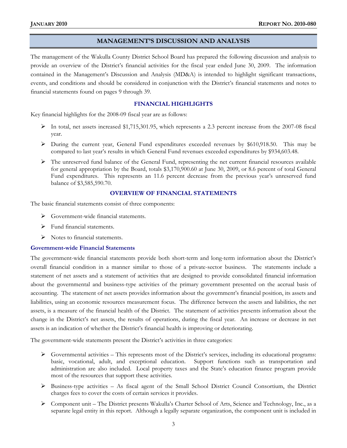#### **MANAGEMENT'S DISCUSSION AND ANALYSIS**

The management of the Wakulla County District School Board has prepared the following discussion and analysis to provide an overview of the District's financial activities for the fiscal year ended June 30, 2009. The information contained in the Management's Discussion and Analysis (MD&A) is intended to highlight significant transactions, events, and conditions and should be considered in conjunction with the District's financial statements and notes to financial statements found on pages 9 through 39.

#### **FINANCIAL HIGHLIGHTS**

Key financial highlights for the 2008-09 fiscal year are as follows:

- $\triangleright$  In total, net assets increased \$1,715,301.95, which represents a 2.3 percent increase from the 2007-08 fiscal year.
- $\triangleright$  During the current year, General Fund expenditures exceeded revenues by \$610,918.50. This may be compared to last year's results in which General Fund revenues exceeded expenditures by \$934,603.48.
- $\triangleright$  The unreserved fund balance of the General Fund, representing the net current financial resources available for general appropriation by the Board, totals \$3,170,900.60 at June 30, 2009, or 8.6 percent of total General Fund expenditures. This represents an 11.6 percent decrease from the previous year's unreserved fund balance of \$3,585,590.70.

#### **OVERVIEW OF FINANCIAL STATEMENTS**

The basic financial statements consist of three components:

- $\triangleright$  Government-wide financial statements.
- $\triangleright$  Fund financial statements.
- $\triangleright$  Notes to financial statements.

#### **Government-wide Financial Statements**

The government-wide financial statements provide both short-term and long-term information about the District's overall financial condition in a manner similar to those of a private-sector business. The statements include a statement of net assets and a statement of activities that are designed to provide consolidated financial information about the governmental and business-type activities of the primary government presented on the accrual basis of accounting. The statement of net assets provides information about the government's financial position, its assets and liabilities, using an economic resources measurement focus. The difference between the assets and liabilities, the net assets, is a measure of the financial health of the District. The statement of activities presents information about the change in the District's net assets, the results of operations, during the fiscal year. An increase or decrease in net assets is an indication of whether the District's financial health is improving or deteriorating.

The government-wide statements present the District's activities in three categories:

- $\triangleright$  Governmental activities This represents most of the District's services, including its educational programs: basic, vocational, adult, and exceptional education. Support functions such as transportation and administration are also included. Local property taxes and the State's education finance program provide most of the resources that support these activities.
- ¾ Business-type activities As fiscal agent of the Small School District Council Consortium, the District charges fees to cover the costs of certain services it provides.
- ¾ Component unit The District presents Wakulla's Charter School of Arts, Science and Technology, Inc., as a separate legal entity in this report. Although a legally separate organization, the component unit is included in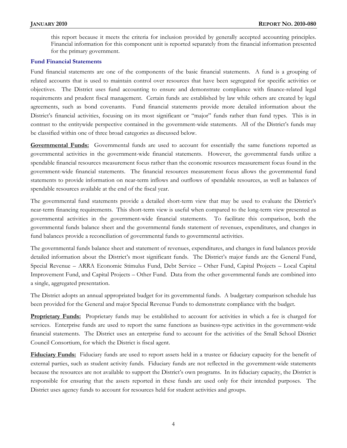this report because it meets the criteria for inclusion provided by generally accepted accounting principles. Financial information for this component unit is reported separately from the financial information presented for the primary government.

#### **Fund Financial Statements**

Fund financial statements are one of the components of the basic financial statements. A fund is a grouping of related accounts that is used to maintain control over resources that have been segregated for specific activities or objectives. The District uses fund accounting to ensure and demonstrate compliance with finance-related legal requirements and prudent fiscal management. Certain funds are established by law while others are created by legal agreements, such as bond covenants. Fund financial statements provide more detailed information about the District's financial activities, focusing on its most significant or "major" funds rather than fund types. This is in contrast to the entitywide perspective contained in the government-wide statements. All of the District's funds may be classified within one of three broad categories as discussed below.

**Governmental Funds:** Governmental funds are used to account for essentially the same functions reported as governmental activities in the government-wide financial statements. However, the governmental funds utilize a spendable financial resources measurement focus rather than the economic resources measurement focus found in the government-wide financial statements. The financial resources measurement focus allows the governmental fund statements to provide information on near-term inflows and outflows of spendable resources, as well as balances of spendable resources available at the end of the fiscal year.

The governmental fund statements provide a detailed short-term view that may be used to evaluate the District's near-term financing requirements. This short-term view is useful when compared to the long-term view presented as governmental activities in the government-wide financial statements. To facilitate this comparison, both the governmental funds balance sheet and the governmental funds statement of revenues, expenditures, and changes in fund balances provide a reconciliation of governmental funds to governmental activities.

The governmental funds balance sheet and statement of revenues, expenditures, and changes in fund balances provide detailed information about the District's most significant funds. The District's major funds are the General Fund, Special Revenue – ARRA Economic Stimulus Fund, Debt Service – Other Fund, Capital Projects – Local Capital Improvement Fund, and Capital Projects – Other Fund. Data from the other governmental funds are combined into a single, aggregated presentation.

The District adopts an annual appropriated budget for its governmental funds. A budgetary comparison schedule has been provided for the General and major Special Revenue Funds to demonstrate compliance with the budget.

**Proprietary Funds:** Proprietary funds may be established to account for activities in which a fee is charged for services. Enterprise funds are used to report the same functions as business-type activities in the government-wide financial statements. The District uses an enterprise fund to account for the activities of the Small School District Council Consortium, for which the District is fiscal agent.

**Fiduciary Funds:** Fiduciary funds are used to report assets held in a trustee or fiduciary capacity for the benefit of external parties, such as student activity funds. Fiduciary funds are not reflected in the government-wide statements because the resources are not available to support the District's own programs. In its fiduciary capacity, the District is responsible for ensuring that the assets reported in these funds are used only for their intended purposes. The District uses agency funds to account for resources held for student activities and groups.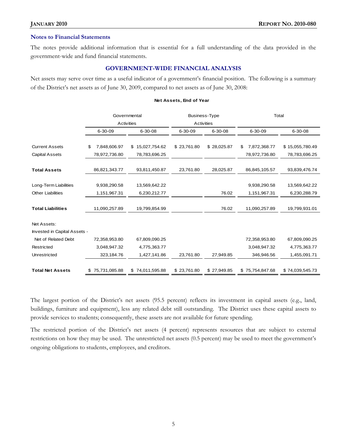#### **Notes to Financial Statements**

The notes provide additional information that is essential for a full understanding of the data provided in the government-wide and fund financial statements.

#### **GOVERNMENT-WIDE FINANCIAL ANALYSIS**

Net assets may serve over time as a useful indicator of a government's financial position. The following is a summary of the District's net assets as of June 30, 2009, compared to net assets as of June 30, 2008:

#### **Net Assets, End of Year**

|                              | Governmental        |                     |             | Business-Type | Total              |                 |  |  |
|------------------------------|---------------------|---------------------|-------------|---------------|--------------------|-----------------|--|--|
|                              |                     | <b>Activities</b>   |             | Activities    |                    |                 |  |  |
|                              | $6 - 30 - 09$       | $6 - 30 - 08$       | 6-30-09     | $6 - 30 - 08$ | 6-30-09            | $6 - 30 - 08$   |  |  |
| <b>Current Assets</b>        | 7,848,606.97<br>\$  | 15,027,754.62<br>S. | \$23,761.80 | \$28,025.87   | \$<br>7,872,368.77 | \$15,055,780.49 |  |  |
| <b>Capital Assets</b>        | 78,972,736.80       | 78,783,696.25       |             |               | 78,972,736.80      | 78,783,696.25   |  |  |
| <b>Total Assets</b>          | 86,821,343.77       | 93,811,450.87       | 23,761.80   | 28,025.87     | 86,845,105.57      | 93,839,476.74   |  |  |
| Long-Term Liabilities        | 9,938,290.58        | 13,569,642.22       |             |               | 9,938,290.58       | 13,569,642.22   |  |  |
| <b>Other Liabilities</b>     | 1,151,967.31        | 6,230,212.77        |             | 76.02         | 1,151,967.31       | 6,230,288.79    |  |  |
| <b>Total Liabilities</b>     | 11,090,257.89       | 19,799,854.99       |             | 76.02         | 11,090,257.89      | 19,799,931.01   |  |  |
| Net Assets:                  |                     |                     |             |               |                    |                 |  |  |
| Invested in Capital Assets - |                     |                     |             |               |                    |                 |  |  |
| Net of Related Debt          | 72,358,953.80       | 67,809,090.25       |             |               | 72,358,953.80      | 67,809,090.25   |  |  |
| Restricted                   | 3,048,947.32        | 4,775,363.77        |             |               | 3,048,947.32       | 4,775,363.77    |  |  |
| Unrestricted                 | 323,184.76          | 1,427,141.86        | 23,761.80   | 27,949.85     | 346,946.56         | 1,455,091.71    |  |  |
| <b>Total Net Assets</b>      | 75,731,085.88<br>\$ | 74,011,595.88<br>\$ | \$23,761.80 | \$27,949.85   | \$75,754,847.68    | \$74,039,545.73 |  |  |

The largest portion of the District's net assets (95.5 percent) reflects its investment in capital assets (e.g., land, buildings, furniture and equipment), less any related debt still outstanding. The District uses these capital assets to provide services to students; consequently, these assets are not available for future spending.

The restricted portion of the District's net assets (4 percent) represents resources that are subject to external restrictions on how they may be used. The unrestricted net assets (0.5 percent) may be used to meet the government's ongoing obligations to students, employees, and creditors.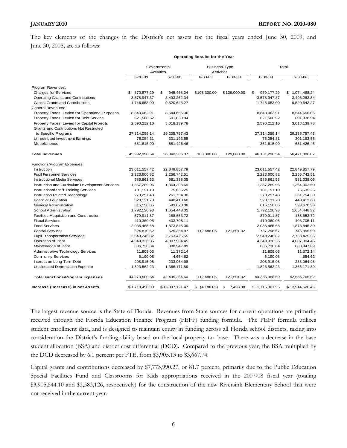The key elements of the changes in the District's net assets for the fiscal years ended June 30, 2009, and June 30, 2008, are as follows:

**Operating Results for the Year**

|                                                 |                  | Governmental<br><b>Activities</b> |               | <b>Business-Type</b><br>Activities |                  | Total           |
|-------------------------------------------------|------------------|-----------------------------------|---------------|------------------------------------|------------------|-----------------|
|                                                 | 6-30-09          | $6 - 30 - 08$                     | $6 - 30 - 09$ | $6 - 30 - 08$                      | $6 - 30 - 09$    | $6 - 30 - 08$   |
| Program Revenues:                               |                  |                                   |               |                                    |                  |                 |
| <b>Charges for Services</b>                     | 870,877.29<br>\$ | 945,468.24<br>\$                  | \$108,300.00  | \$129,000.00                       | 979,177.29<br>\$ | \$1,074,468.24  |
| Operating Grants and Contributions              | 3,578,947.37     | 3,493,262.34                      |               |                                    | 3,578,947.37     | 3,493,262.34    |
| Capital Grants and Contributions                | 1,746,653.00     | 9,520,643.27                      |               |                                    | 1,746,653.00     | 9,520,643.27    |
| General Revenues:                               |                  |                                   |               |                                    |                  |                 |
| Property Taxes, Levied for Operational Purposes | 8,843,062.91     | 8,544,656.06                      |               |                                    | 8,843,062.91     | 8,544,656.06    |
| Property Taxes, Levied for Debt Service         | 621,508.52       | 601,838.94                        |               |                                    | 621,508.52       | 601,838.94      |
| Property Taxes, Levied for Capital Projects     | 2,590,212.10     | 3,018,139.78                      |               |                                    | 2,590,212.10     | 3,018,139.78    |
| Grants and Contributions Not Restricted         |                  |                                   |               |                                    |                  |                 |
| to Specific Programs                            | 27,314,059.14    | 29,235,757.43                     |               |                                    | 27,314,059.14    | 29,235,757.43   |
| Unrestricted Investment Earnings                | 76,054.31        | 301,193.55                        |               |                                    | 76,054.31        | 301,193.55      |
| <b>Miscellaneous</b>                            | 351,615.90       | 681,426.46                        |               |                                    | 351,615.90       | 681,426.46      |
|                                                 |                  |                                   |               | 129,000.00                         |                  |                 |
| <b>Total Revenues</b>                           | 45,992,990.54    | 56,342,386.07                     | 108,300.00    |                                    | 46,101,290.54    | 56,471,386.07   |
| Functions/Program Expenses:                     |                  |                                   |               |                                    |                  |                 |
| Instruction                                     | 23,011,557.42    | 22,849,857.79                     |               |                                    | 23,011,557.42    | 22,849,857.79   |
| <b>Pupil Personnel Services</b>                 | 2,223,600.82     | 2,256,742.51                      |               |                                    | 2,223,600.82     | 2,256,742.51    |
| <b>Instructional Media Services</b>             | 585,861.53       | 581,338.05                        |               |                                    | 585,861.53       | 581,338.05      |
| Instruction and Curriculum Development Services | 1,357,289.96     | 1,364,303.69                      |               |                                    | 1,357,289.96     | 1,364,303.69    |
| <b>Instructional Staff Training Services</b>    | 101,191.10       | 75,635.25                         |               |                                    | 101,191.10       | 75,635.25       |
| <b>Instruction Related Technology</b>           | 279,257.48       | 261,754.30                        |               |                                    | 279,257.48       | 261,754.30      |
| Board of Education                              | 520,131.70       | 440,413.60                        |               |                                    | 520,131.70       | 440,413.60      |
| <b>General Administration</b>                   | 615,150.05       | 593,670.38                        |               |                                    | 615,150.05       | 593,670.38      |
| School Administration                           | 1,792,120.93     | 1,654,448.32                      |               |                                    | 1,792,120.93     | 1,654,448.32    |
| Facilities Acquisition and Construction         | 879,911.87       | 188,653.72                        |               |                                    | 879,911.87       | 188,653.72      |
| <b>Fiscal Services</b>                          | 410,360.05       | 403,705.11                        |               |                                    | 410,360.05       | 403,705.11      |
| <b>Food Services</b>                            | 2,036,465.68     | 1,873,845.39                      |               |                                    | 2,036,465.68     | 1,873,845.39    |
| <b>Central Services</b>                         | 624,810.62       | 625,354.97                        | 112,488.05    | 121,501.02                         | 737,298.67       | 746,855.99      |
| <b>Pupil Transportation Services</b>            | 2,549,246.82     | 2,753,425.55                      |               |                                    | 2,549,246.82     | 2,753,425.55    |
| Operation of Plant                              | 4,349,336.35     | 4,007,904.45                      |               |                                    | 4,349,336.35     | 4,007,904.45    |
| Maintenance of Plant                            | 886,730.84       | 888,947.89                        |               |                                    | 886,730.84       | 888,947.89      |
| Administrative Technology Services              | 11,809.03        | 11,372.14                         |               |                                    | 11,809.03        | 11,372.14       |
| <b>Community Services</b>                       | 6,190.08         | 4,654.62                          |               |                                    | 6,190.08         | 4,654.62        |
| Interest on Long-Term Debt                      | 208,915.98       | 233,064.98                        |               |                                    | 208,915.98       | 233,064.98      |
| Unallocated Depreciation Expense                | 1,823,562.23     | 1,366,171.89                      |               |                                    | 1,823,562.23     | 1,366,171.89    |
| <b>Total Functions/Program Expenses</b>         | 44,273,500.54    | 42,435,264.60                     | 112,488.05    | 121,501.02                         | 44,385,988.59    | 42,556,765.62   |
| Increase (Decrease) in Net Assets               | \$1,719,490.00   | \$13,907,121.47                   | \$(4, 188.05) | 7,498.98<br>\$                     | \$1,715,301.95   | \$13,914,620.45 |

The largest revenue source is the State of Florida. Revenues from State sources for current operations are primarily received through the Florida Education Finance Program (FEFP) funding formula. The FEFP formula utilizes student enrollment data, and is designed to maintain equity in funding across all Florida school districts, taking into consideration the District's funding ability based on the local property tax base. There was a decrease in the base student allocation (BSA) and district cost differential (DCD). Compared to the previous year, the BSA multiplied by the DCD decreased by 6.1 percent per FTE, from \$3,905.13 to \$3,667.74.

Capital grants and contributions decreased by \$7,773,990.27, or 81.7 percent, primarily due to the Public Education Special Facilities Fund and Classrooms for Kids appropriations received in the 2007-08 fiscal year (totaling \$3,905,544.10 and \$3,583,126, respectively) for the construction of the new Riversink Elementary School that were not received in the current year.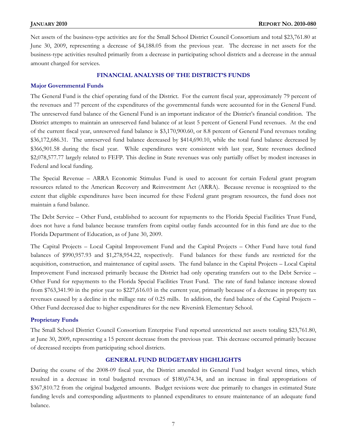Net assets of the business-type activities are for the Small School District Council Consortium and total \$23,761.80 at June 30, 2009, representing a decrease of \$4,188.05 from the previous year. The decrease in net assets for the business-type activities resulted primarily from a decrease in participating school districts and a decrease in the annual amount charged for services.

## **FINANCIAL ANALYSIS OF THE DISTRICT'S FUNDS**

#### **Major Governmental Funds**

The General Fund is the chief operating fund of the District. For the current fiscal year, approximately 79 percent of the revenues and 77 percent of the expenditures of the governmental funds were accounted for in the General Fund. The unreserved fund balance of the General Fund is an important indicator of the District's financial condition. The District attempts to maintain an unreserved fund balance of at least 5 percent of General Fund revenues. At the end of the current fiscal year, unreserved fund balance is \$3,170,900.60, or 8.8 percent of General Fund revenues totaling \$36,172,686.31. The unreserved fund balance decreased by \$414,690.10, while the total fund balance decreased by \$366,901.58 during the fiscal year. While expenditures were consistent with last year, State revenues declined \$2,078,577.77 largely related to FEFP. This decline in State revenues was only partially offset by modest increases in Federal and local funding.

The Special Revenue – ARRA Economic Stimulus Fund is used to account for certain Federal grant program resources related to the American Recovery and Reinvestment Act (ARRA). Because revenue is recognized to the extent that eligible expenditures have been incurred for these Federal grant program resources, the fund does not maintain a fund balance.

The Debt Service – Other Fund, established to account for repayments to the Florida Special Facilities Trust Fund, does not have a fund balance because transfers from capital outlay funds accounted for in this fund are due to the Florida Department of Education, as of June 30, 2009.

The Capital Projects – Local Capital Improvement Fund and the Capital Projects – Other Fund have total fund balances of \$990,957.93 and \$1,278,954.22, respectively. Fund balances for these funds are restricted for the acquisition, construction, and maintenance of capital assets. The fund balance in the Capital Projects – Local Capital Improvement Fund increased primarily because the District had only operating transfers out to the Debt Service – Other Fund for repayments to the Florida Special Facilities Trust Fund. The rate of fund balance increase slowed from \$763,341.90 in the prior year to \$227,616.03 in the current year, primarily because of a decrease in property tax revenues caused by a decline in the millage rate of 0.25 mills. In addition, the fund balance of the Capital Projects – Other Fund decreased due to higher expenditures for the new Riversink Elementary School.

#### **Proprietary Funds**

The Small School District Council Consortium Enterprise Fund reported unrestricted net assets totaling \$23,761.80, at June 30, 2009, representing a 15 percent decrease from the previous year. This decrease occurred primarily because of decreased receipts from participating school districts.

#### **GENERAL FUND BUDGETARY HIGHLIGHTS**

During the course of the 2008-09 fiscal year, the District amended its General Fund budget several times, which resulted in a decrease in total budgeted revenues of \$180,674.34, and an increase in final appropriations of \$367,810.72 from the original budgeted amounts. Budget revisions were due primarily to changes in estimated State funding levels and corresponding adjustments to planned expenditures to ensure maintenance of an adequate fund balance.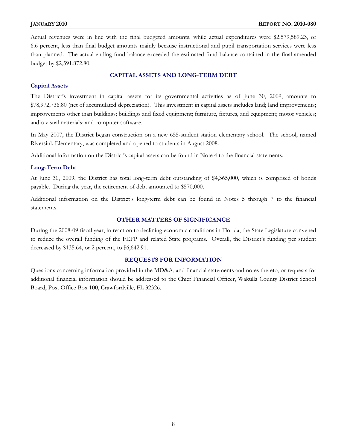Actual revenues were in line with the final budgeted amounts, while actual expenditures were \$2,579,589.23, or 6.6 percent, less than final budget amounts mainly because instructional and pupil transportation services were less than planned. The actual ending fund balance exceeded the estimated fund balance contained in the final amended budget by \$2,591,872.80.

#### **CAPITAL ASSETS AND LONG-TERM DEBT**

#### **Capital Assets**

The District's investment in capital assets for its governmental activities as of June 30, 2009, amounts to \$78,972,736.80 (net of accumulated depreciation). This investment in capital assets includes land; land improvements; improvements other than buildings; buildings and fixed equipment; furniture, fixtures, and equipment; motor vehicles; audio visual materials; and computer software.

In May 2007, the District began construction on a new 655-student station elementary school. The school, named Riversink Elementary, was completed and opened to students in August 2008.

Additional information on the District's capital assets can be found in Note 4 to the financial statements.

#### **Long-Term Debt**

At June 30, 2009, the District has total long-term debt outstanding of \$4,365,000, which is comprised of bonds payable. During the year, the retirement of debt amounted to \$570,000.

Additional information on the District's long-term debt can be found in Notes 5 through 7 to the financial statements.

#### **OTHER MATTERS OF SIGNIFICANCE**

During the 2008-09 fiscal year, in reaction to declining economic conditions in Florida, the State Legislature convened to reduce the overall funding of the FEFP and related State programs. Overall, the District's funding per student decreased by \$135.64, or 2 percent, to \$6,642.91.

#### **REQUESTS FOR INFORMATION**

Questions concerning information provided in the MD&A, and financial statements and notes thereto, or requests for additional financial information should be addressed to the Chief Financial Officer, Wakulla County District School Board, Post Office Box 100, Crawfordville, FL 32326.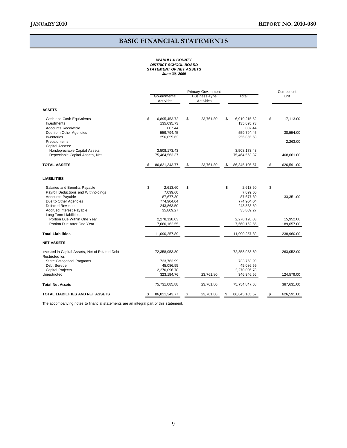## **BASIC FINANCIAL STATEMENTS**

#### *STATEMENT OF NET ASSETS June 30, 2009 WAKULLA COUNTY DISTRICT SCHOOL BOARD*

|                                                                                                                                                                                             |                                                                                  | <b>Primary Government</b>          |                                                                                  | Component               |
|---------------------------------------------------------------------------------------------------------------------------------------------------------------------------------------------|----------------------------------------------------------------------------------|------------------------------------|----------------------------------------------------------------------------------|-------------------------|
|                                                                                                                                                                                             | Governmental<br>Activities                                                       | <b>Business-Type</b><br>Activities | Total                                                                            | Unit                    |
| <b>ASSETS</b>                                                                                                                                                                               |                                                                                  |                                    |                                                                                  |                         |
| Cash and Cash Equivalents<br>Investments<br><b>Accounts Receivable</b>                                                                                                                      | \$<br>6,895,453.72<br>135,695.73<br>807.44                                       | \$<br>23,761.80                    | \$<br>6,919,215.52<br>135,695.73<br>807.44                                       | \$<br>117,113.00        |
| Due from Other Agencies<br>Inventories                                                                                                                                                      | 559,794.45<br>256,855.63                                                         |                                    | 559,794.45<br>256,855.63                                                         | 38,554.00               |
| Prepaid Items<br>Capital Assets:                                                                                                                                                            |                                                                                  |                                    |                                                                                  | 2,263.00                |
| Nondepreciable Capital Assets<br>Depreciable Capital Assets, Net                                                                                                                            | 3,508,173.43<br>75,464,563.37                                                    |                                    | 3,508,173.43<br>75,464,563.37                                                    | 468,661.00              |
| <b>TOTAL ASSETS</b>                                                                                                                                                                         | \$<br>86, 821, 343. 77                                                           | \$<br>23,761.80                    | \$<br>86, 845, 105.57                                                            | \$<br>626,591.00        |
| <b>LIABILITIES</b>                                                                                                                                                                          |                                                                                  |                                    |                                                                                  |                         |
| Salaries and Benefits Payable<br>Payroll Deductions and Withholdings<br>Accounts Payable<br>Due to Other Agencies<br>Deferred Revenue<br>Accrued Interest Payable<br>Long-Term Liabilities: | \$<br>2,613.60<br>7,099.60<br>87,677.30<br>774,904.04<br>243,863.50<br>35,809.27 | \$                                 | \$<br>2,613.60<br>7,099.60<br>87,677.30<br>774,904.04<br>243,863.50<br>35,809.27 | \$<br>33,351.00         |
| Portion Due Within One Year<br>Portion Due After One Year                                                                                                                                   | 2,278,128.03<br>7,660,162.55                                                     |                                    | 2,278,128.03<br>7,660,162.55                                                     | 15.952.00<br>189,657.00 |
| <b>Total Liabilities</b>                                                                                                                                                                    | 11,090,257.89                                                                    |                                    | 11,090,257.89                                                                    | 238,960.00              |
| <b>NET ASSETS</b>                                                                                                                                                                           |                                                                                  |                                    |                                                                                  |                         |
| Invested in Capital Assets, Net of Related Debt<br>Restricted for:                                                                                                                          | 72,358,953.80                                                                    |                                    | 72,358,953.80                                                                    | 263,052.00              |
| <b>State Categorical Programs</b><br>Debt Service<br><b>Capital Projects</b>                                                                                                                | 733,763.99<br>45,086.55<br>2,270,096.78                                          |                                    | 733,763.99<br>45,086.55<br>2,270,096.78                                          |                         |
| Unrestricted                                                                                                                                                                                | 323, 184.76                                                                      | 23,761.80                          | 346,946.56                                                                       | 124,579.00              |
| <b>Total Net Assets</b>                                                                                                                                                                     | 75,731,085.88                                                                    | 23,761.80                          | 75,754,847.68                                                                    | 387,631.00              |
| TOTAL LIABILITIES AND NET ASSETS                                                                                                                                                            | \$<br>86,821,343.77                                                              | \$<br>23,761.80                    | \$<br>86, 845, 105.57                                                            | \$<br>626,591.00        |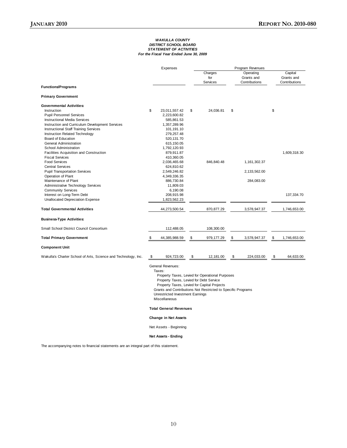#### *WAKULLA COUNTY DISTRICT SCHOOL BOARD STATEMENT OF ACTIVITIES For the Fiscal Year Ended June 30, 2009*

|                                                                                                                                                                                                                                                                                               |    | Expenses                                                                                |    | Program Revenues           |    |                                          |    |                                        |
|-----------------------------------------------------------------------------------------------------------------------------------------------------------------------------------------------------------------------------------------------------------------------------------------------|----|-----------------------------------------------------------------------------------------|----|----------------------------|----|------------------------------------------|----|----------------------------------------|
|                                                                                                                                                                                                                                                                                               |    |                                                                                         |    | Charges<br>for<br>Services |    | Operating<br>Grants and<br>Contributions |    | Capital<br>Grants and<br>Contributions |
| <b>Functions/Programs</b>                                                                                                                                                                                                                                                                     |    |                                                                                         |    |                            |    |                                          |    |                                        |
| <b>Primary Government</b>                                                                                                                                                                                                                                                                     |    |                                                                                         |    |                            |    |                                          |    |                                        |
| <b>Governmental Activities:</b><br>Instruction<br><b>Pupil Personnel Services</b><br><b>Instructional Media Services</b><br>Instruction and Curriculum Development Services<br><b>Instructional Staff Training Services</b><br>Instruction Related Technology                                 | \$ | 23,011,557.42<br>2,223,600.82<br>585,861.53<br>1,357,289.96<br>101,191.10<br>279,257.48 | \$ | 24,036.81                  | \$ |                                          | \$ |                                        |
| Board of Education<br><b>General Administration</b><br>School Administration<br>Facilities Acquisition and Construction<br><b>Fiscal Services</b>                                                                                                                                             |    | 520,131.70<br>615,150.05<br>1,792,120.93<br>879,911.87<br>410,360.05                    |    |                            |    |                                          |    | 1,609,318.30                           |
| <b>Food Services</b><br><b>Central Services</b>                                                                                                                                                                                                                                               |    | 2,036,465.68<br>624,810.62                                                              |    | 846,840.48                 |    | 1, 161, 302. 37                          |    |                                        |
| <b>Pupil Transportation Services</b><br>Operation of Plant<br>Maintenance of Plant                                                                                                                                                                                                            |    | 2,549,246.82<br>4,349,336.35<br>886,730.84                                              |    |                            |    | 2,133,562.00<br>284,083.00               |    |                                        |
| <b>Administrative Technology Services</b><br><b>Community Services</b>                                                                                                                                                                                                                        |    | 11,809.03<br>6,190.08                                                                   |    |                            |    |                                          |    |                                        |
| Interest on Long-Term Debt<br><b>Unallocated Depreciation Expense</b>                                                                                                                                                                                                                         |    | 208,915.98<br>1,823,562.23                                                              |    |                            |    |                                          |    | 137,334.70                             |
| <b>Total Governmental Activities</b>                                                                                                                                                                                                                                                          |    | 44,273,500.54                                                                           |    | 870,877.29                 |    | 3,578,947.37                             |    | 1,746,653.00                           |
| <b>Business-Type Activities:</b>                                                                                                                                                                                                                                                              |    |                                                                                         |    |                            |    |                                          |    |                                        |
| Small School District Council Consortium                                                                                                                                                                                                                                                      |    | 112,488.05                                                                              |    | 108,300.00                 |    |                                          |    |                                        |
| <b>Total Primary Government</b>                                                                                                                                                                                                                                                               | S  | 44,385,988.59                                                                           | \$ | 979,177.29                 | \$ | 3,578,947.37                             | \$ | 1,746,653.00                           |
| <b>Component Unit</b>                                                                                                                                                                                                                                                                         |    |                                                                                         |    |                            |    |                                          |    |                                        |
| Wakulla's Charter School of Arts, Science and Technology, Inc.                                                                                                                                                                                                                                | \$ | 924,723.00                                                                              | \$ | 12,181.00                  | \$ | 224,033.00                               | \$ | 64,633.00                              |
| General Revenues:<br>Taxes:<br>Property Taxes, Levied for Operational Purposes<br>Property Taxes, Levied for Debt Service<br>Property Taxes, Levied for Capital Projects<br>Grants and Contributions Not Restricted to Specific Programs<br>Unrestricted Investment Earnings<br>Miscellaneous |    |                                                                                         |    |                            |    |                                          |    |                                        |
|                                                                                                                                                                                                                                                                                               |    | <b>Total General Revenues</b>                                                           |    |                            |    |                                          |    |                                        |
|                                                                                                                                                                                                                                                                                               |    | <b>Change in Net Assets</b>                                                             |    |                            |    |                                          |    |                                        |
|                                                                                                                                                                                                                                                                                               |    | Net Assets - Beginning                                                                  |    |                            |    |                                          |    |                                        |
|                                                                                                                                                                                                                                                                                               |    | Net Assets - Ending                                                                     |    |                            |    |                                          |    |                                        |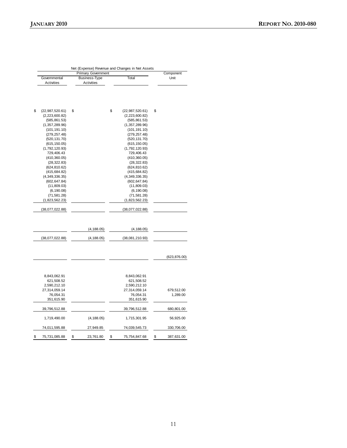|                             | Net (Expense) Revenue and Changes in Net Assets | Component                   |    |               |
|-----------------------------|-------------------------------------------------|-----------------------------|----|---------------|
| Governmental                | <b>Primary Government</b><br>Business-Type      | Total                       |    | Unit          |
| <b>Activities</b>           | Activities                                      |                             |    |               |
|                             |                                                 |                             |    |               |
|                             |                                                 |                             |    |               |
| \$<br>(22, 987, 520.61)     | \$                                              | \$<br>(22, 987, 520.61)     | \$ |               |
| (2,223,600.82)              |                                                 | (2,223,600.82)              |    |               |
| (585, 861.53)               |                                                 | (585, 861.53)               |    |               |
| (1,357,289.96)              |                                                 | (1,357,289.96)              |    |               |
| (101, 191.10)               |                                                 | (101, 191.10)               |    |               |
| (279, 257.48)               |                                                 | (279, 257.48)               |    |               |
| (520, 131.70)               |                                                 | (520, 131.70)               |    |               |
| (615, 150.05)               |                                                 | (615, 150.05)               |    |               |
| (1,792,120.93)              |                                                 | (1,792,120.93)              |    |               |
| 729,406.43<br>(410, 360.05) |                                                 | 729,406.43<br>(410, 360.05) |    |               |
| (28, 322.83)                |                                                 | (28, 322.83)                |    |               |
| (624, 810.62)               |                                                 | (624, 810.62)               |    |               |
| (415, 684.82)               |                                                 | (415,684.82)                |    |               |
| (4,349,336.35)              |                                                 | (4,349,336.35)              |    |               |
| (602, 647.84)               |                                                 | (602, 647.84)               |    |               |
| (11,809.03)                 |                                                 | (11, 809.03)                |    |               |
| (6, 190.08)                 |                                                 | (6, 190.08)                 |    |               |
| (71,581.28)                 |                                                 | (71, 581.28)                |    |               |
| (1,823,562.23)              |                                                 | (1,823,562.23)              |    |               |
| (38,077,022.88)             |                                                 | (38,077,022.88)             |    |               |
|                             |                                                 |                             |    |               |
|                             | (4, 188.05)                                     | (4, 188.05)                 |    |               |
| (38,077,022.88)             | (4, 188.05)                                     | (38,081,210.93)             |    |               |
|                             |                                                 |                             |    |               |
|                             |                                                 |                             |    | (623, 876.00) |
|                             |                                                 |                             |    |               |
| 8,843,062.91                |                                                 | 8,843,062.91                |    |               |
| 621,508.52                  |                                                 | 621,508.52                  |    |               |
| 2,590,212.10                |                                                 | 2,590,212.10                |    |               |
| 27,314,059.14               |                                                 | 27,314,059.14               |    | 679,512.00    |
| 76,054.31                   |                                                 | 76,054.31                   |    | 1,289.00      |
| 351,615.90                  |                                                 | 351,615.90                  |    |               |
| 39,796,512.88               |                                                 | 39,796,512.88               |    | 680,801.00    |
| 1,719,490.00                | (4, 188.05)                                     | 1,715,301.95                |    | 56,925.00     |
| 74,011,595.88               | 27,949.85                                       | 74,039,545.73               |    | 330,706.00    |
| \$<br>75,731,085.88         | \$<br>23,761.80                                 | \$<br>75,754,847.68         | \$ | 387,631.00    |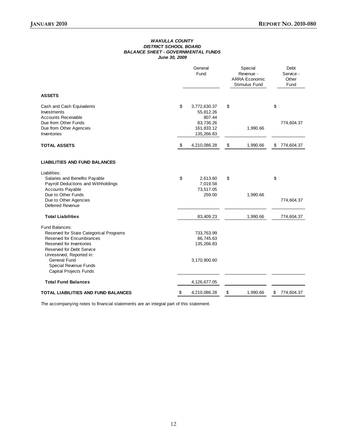#### *WAKULLA COUNTY DISTRICT SCHOOL BOARD BALANCE SHEET - GOVERNMENTAL FUNDS June 30, 2009*

|                                                                                                                                                                                           | General<br>Fund                                        | Special<br>Revenue -<br><b>ARRA Economic</b><br><b>Stimulus Fund</b> | Debt<br>Service -<br>Other<br>Fund |
|-------------------------------------------------------------------------------------------------------------------------------------------------------------------------------------------|--------------------------------------------------------|----------------------------------------------------------------------|------------------------------------|
| <b>ASSETS</b>                                                                                                                                                                             |                                                        |                                                                      |                                    |
| Cash and Cash Equivalents<br>Investments<br><b>Accounts Receivable</b><br>Due from Other Funds                                                                                            | \$<br>3,772,630.37<br>55,812.26<br>807.44<br>83,736.26 | \$                                                                   | \$<br>774,604.37                   |
| Due from Other Agencies<br>Inventories                                                                                                                                                    | 161,833.12<br>135,266.83                               | 1,990.66                                                             |                                    |
| <b>TOTAL ASSETS</b>                                                                                                                                                                       | \$<br>4,210,086.28                                     | \$<br>1,990.66                                                       | \$<br>774,604.37                   |
| <b>LIABILITIES AND FUND BALANCES</b>                                                                                                                                                      |                                                        |                                                                      |                                    |
| Liabilities:<br>Salaries and Benefits Payable<br>Payroll Deductions and Withholdings<br><b>Accounts Payable</b><br>Due to Other Funds<br>Due to Other Agencies<br><b>Deferred Revenue</b> | \$<br>2,613.60<br>7,019.58<br>73,517.05<br>259.00      | \$<br>1,990.66                                                       | \$<br>774,604.37                   |
| <b>Total Liabilities</b>                                                                                                                                                                  | 83,409.23                                              | 1,990.66                                                             | 774,604.37                         |
| Fund Balances:<br>Reserved for State Categorical Programs<br>Reserved for Encumbrances<br>Reserved for Inventories<br>Reserved for Debt Service<br>Unreserved, Reported in:               | 733,763.99<br>86,745.63<br>135,266.83                  |                                                                      |                                    |
| General Fund<br>Special Revenue Funds<br><b>Capital Projects Funds</b>                                                                                                                    | 3,170,900.60                                           |                                                                      |                                    |
| <b>Total Fund Balances</b>                                                                                                                                                                | 4,126,677.05                                           |                                                                      |                                    |
| TOTAL LIABILITIES AND FUND BALANCES                                                                                                                                                       | \$<br>4,210,086.28                                     | \$<br>1,990.66                                                       | \$<br>774,604.37                   |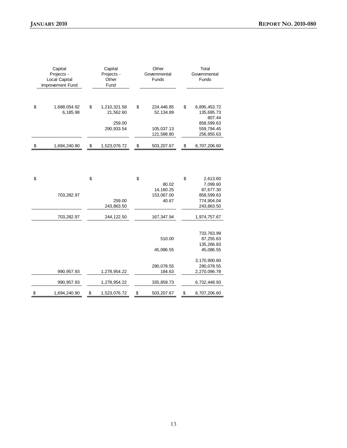| Capital<br>Projects -<br><b>Local Capital</b><br>Improvement Fund | Capital<br>Projects -<br>Other<br>Fund                  | Other<br>Governmental<br>Funds                            | Total<br>Governmental<br>Funds                                                       |
|-------------------------------------------------------------------|---------------------------------------------------------|-----------------------------------------------------------|--------------------------------------------------------------------------------------|
| \$<br>1,688,054.92<br>6,185.98                                    | \$<br>1,210,321.58<br>21,562.60<br>259.00<br>290,933.54 | \$<br>224,446.85<br>52,134.89<br>105,037.13<br>121,588.80 | \$<br>6,895,453.72<br>135,695.73<br>807.44<br>858,599.63<br>559,794.45<br>256,855.63 |
| \$<br>1,694,240.90                                                | \$<br>1,523,076.72                                      | \$<br>503,207.67                                          | \$<br>8,707,206.60                                                                   |
| \$<br>703,282.97                                                  | \$<br>259.00<br>243,863.50                              | \$<br>80.02<br>14,160.25<br>153,067.00<br>40.67           | \$<br>2,613.60<br>7,099.60<br>87,677.30<br>858,599.63<br>774,904.04<br>243,863.50    |
| 703,282.97                                                        | 244, 122.50                                             | 167,347.94                                                | 1,974,757.67                                                                         |
|                                                                   |                                                         | 510.00<br>45,086.55<br>290,078.55                         | 733,763.99<br>87,255.63<br>135,266.83<br>45,086.55<br>3,170,900.60<br>290,078.55     |
| 990,957.93                                                        | 1,278,954.22                                            | 184.63                                                    | 2,270,096.78                                                                         |
| 990,957.93                                                        | 1,278,954.22                                            | 335,859.73                                                | 6,732,448.93                                                                         |
| \$<br>1,694,240.90                                                | \$<br>1,523,076.72                                      | \$<br>503,207.67                                          | \$<br>8,707,206.60                                                                   |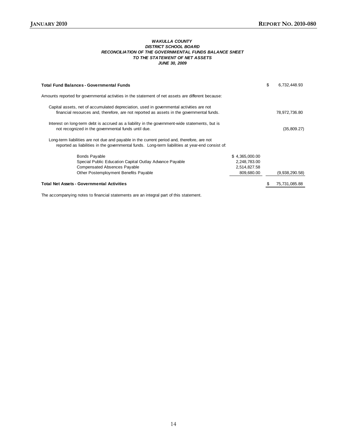#### *JUNE 30, 2009 DISTRICT SCHOOL BOARD WAKULLA COUNTY RECONCILIATION OF THE GOVERNMENTAL FUNDS BALANCE SHEET TO THE STATEMENT OF NET ASSETS*

| Total Fund Balances - Governmental Funds                                                                                                                                                        |                                                              | \$<br>6,732,448.93 |
|-------------------------------------------------------------------------------------------------------------------------------------------------------------------------------------------------|--------------------------------------------------------------|--------------------|
| Amounts reported for governmental activities in the statement of net assets are different because:                                                                                              |                                                              |                    |
| Capital assets, net of accumulated depreciation, used in governmental activities are not<br>financial resources and, therefore, are not reported as assets in the governmental funds.           |                                                              | 78,972,736.80      |
| Interest on long-term debt is accrued as a liability in the government-wide statements, but is<br>not recognized in the governmental funds until due.                                           | (35,809.27)                                                  |                    |
| Long-term liabilities are not due and payable in the current period and, therefore, are not<br>reported as liabilities in the governmental funds. Long-term liabilities at year-end consist of: |                                                              |                    |
| <b>Bonds Payable</b><br>Special Public Education Capital Outlay Advance Payable<br><b>Compensated Absences Payable</b><br><b>Other Postemployment Benefits Payable</b>                          | \$4,365,000.00<br>2,248,783.00<br>2,514,827.58<br>809,680.00 | (9,938,290.58)     |
| Total Net Assets - Governmental Activities                                                                                                                                                      | 75,731,085.88                                                |                    |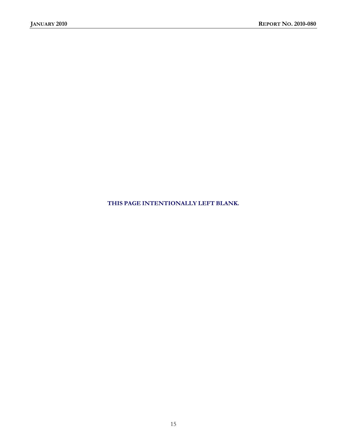## **THIS PAGE INTENTIONALLY LEFT BLANK.**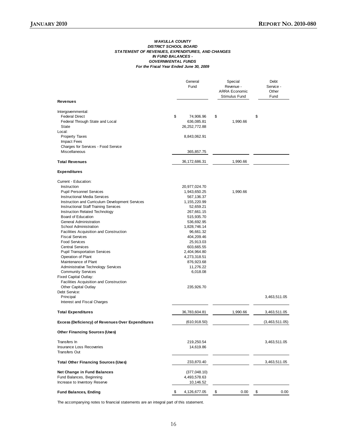#### *For the Fiscal Year Ended June 30, 2009 WAKULLA COUNTY DISTRICT SCHOOL BOARD STATEMENT OF REVENUES, EXPENDITURES, AND CHANGES IN FUND BALANCES - GOVERNMENTAL FUNDS*

|                                                          |    | General<br>Fund |    | Special<br>Revenue -<br><b>ARRA Economic</b><br>Stimulus Fund | Debt<br>Service -<br>Other<br>Fund |
|----------------------------------------------------------|----|-----------------|----|---------------------------------------------------------------|------------------------------------|
| <b>Revenues</b>                                          |    |                 |    |                                                               |                                    |
| Intergovernmental:                                       |    |                 |    |                                                               |                                    |
| <b>Federal Direct</b>                                    | \$ | 74,906.96       | \$ |                                                               | \$                                 |
| Federal Through State and Local                          |    | 636,085.81      |    | 1,990.66                                                      |                                    |
| State                                                    |    | 26, 252, 772.88 |    |                                                               |                                    |
| Local:                                                   |    |                 |    |                                                               |                                    |
| <b>Property Taxes</b>                                    |    | 8,843,062.91    |    |                                                               |                                    |
| <b>Impact Fees</b>                                       |    |                 |    |                                                               |                                    |
| Charges for Services - Food Service                      |    |                 |    |                                                               |                                    |
| Miscellaneous                                            |    | 365,857.75      |    |                                                               |                                    |
| <b>Total Revenues</b>                                    |    | 36,172,686.31   |    | 1,990.66                                                      |                                    |
| <b>Expenditures</b>                                      |    |                 |    |                                                               |                                    |
|                                                          |    |                 |    |                                                               |                                    |
| Current - Education:                                     |    |                 |    |                                                               |                                    |
| Instruction                                              |    | 20,977,024.70   |    |                                                               |                                    |
| <b>Pupil Personnel Services</b>                          |    | 1,943,650.25    |    | 1,990.66                                                      |                                    |
| <b>Instructional Media Services</b>                      |    | 567,136.37      |    |                                                               |                                    |
| Instruction and Curriculum Development Services          |    | 1,155,220.99    |    |                                                               |                                    |
| <b>Instructional Staff Training Services</b>             |    | 52,659.21       |    |                                                               |                                    |
| <b>Instruction Related Technology</b>                    |    | 267,661.15      |    |                                                               |                                    |
| <b>Board of Education</b>                                |    | 515,935.70      |    |                                                               |                                    |
| General Administration                                   |    | 536,692.95      |    |                                                               |                                    |
| School Administration                                    |    | 1,828,746.14    |    |                                                               |                                    |
| <b>Facilities Acquisition and Construction</b>           |    | 96,661.32       |    |                                                               |                                    |
| <b>Fiscal Services</b>                                   |    | 404,209.46      |    |                                                               |                                    |
| <b>Food Services</b>                                     |    | 25,913.03       |    |                                                               |                                    |
| <b>Central Services</b>                                  |    | 603,665.55      |    |                                                               |                                    |
| <b>Pupil Transportation Services</b>                     |    | 2,404,964.80    |    |                                                               |                                    |
| Operation of Plant                                       |    | 4,273,318.51    |    |                                                               |                                    |
| Maintenance of Plant                                     |    | 876,923.68      |    |                                                               |                                    |
| <b>Administrative Technology Services</b>                |    | 11,276.22       |    |                                                               |                                    |
| <b>Community Services</b>                                |    | 6,018.08        |    |                                                               |                                    |
| <b>Fixed Capital Outlay:</b>                             |    |                 |    |                                                               |                                    |
| <b>Facilities Acquisition and Construction</b>           |    |                 |    |                                                               |                                    |
| <b>Other Capital Outlay</b>                              |    | 235,926.70      |    |                                                               |                                    |
| Debt Service:                                            |    |                 |    |                                                               |                                    |
| Principal                                                |    |                 |    |                                                               | 3,463,511.05                       |
| Interest and Fiscal Charges                              |    |                 |    |                                                               |                                    |
| <b>Total Expenditures</b>                                |    | 36,783,604.81   |    | 1,990.66                                                      | 3,463,511.05                       |
| <b>Excess (Deficiency) of Revenues Over Expenditures</b> |    | (610, 918.50)   |    |                                                               | (3,463,511.05)                     |
| Other Financing Sources (Uses)                           |    |                 |    |                                                               |                                    |
|                                                          |    |                 |    |                                                               |                                    |
| Transfers In                                             |    | 219,250.54      |    |                                                               | 3,463,511.05                       |
| <b>Insurance Loss Recoveries</b>                         |    | 14,619.86       |    |                                                               |                                    |
| Transfers Out                                            |    |                 |    |                                                               |                                    |
| <b>Total Other Financing Sources (Uses)</b>              |    | 233,870.40      |    |                                                               | 3,463,511.05                       |
| Net Change in Fund Balances                              |    | (377,048.10)    |    |                                                               |                                    |
| Fund Balances, Beginning                                 |    | 4,493,578.63    |    |                                                               |                                    |
| Increase to Inventory Reserve                            |    | 10,146.52       |    |                                                               |                                    |
|                                                          |    |                 |    |                                                               |                                    |
| <b>Fund Balances, Ending</b>                             | \$ | 4,126,677.05    | \$ | 0.00                                                          | \$<br>0.00                         |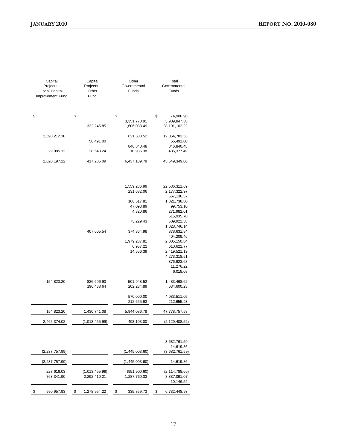| Capital<br>Projects -<br><b>Local Capital</b><br>Improvement Fund | Capital<br>Projects -<br>Other<br>Fund | Other<br>Governmental<br>Funds                                                                                                        | Total<br>Governmental<br>Funds                                                                                                                                                                                                                                      |
|-------------------------------------------------------------------|----------------------------------------|---------------------------------------------------------------------------------------------------------------------------------------|---------------------------------------------------------------------------------------------------------------------------------------------------------------------------------------------------------------------------------------------------------------------|
| \$                                                                | \$<br>332,245.85                       | \$<br>3,351,770.91<br>1,606,083.49                                                                                                    | \$<br>74,906.96<br>3,989,847.38<br>28, 191, 102. 22                                                                                                                                                                                                                 |
| 2,590,212.10                                                      | 56,491.00                              | 621,508.52<br>846,840.48                                                                                                              | 12,054,783.53<br>56,491.00<br>846,840.48                                                                                                                                                                                                                            |
| 29,985.12                                                         | 28,548.24                              | 10,986.38                                                                                                                             | 435, 377.49                                                                                                                                                                                                                                                         |
| 2,620,197.22                                                      | 417,285.09                             | 6,437,189.78                                                                                                                          | 45,649,349.06                                                                                                                                                                                                                                                       |
|                                                                   | 407,605.54                             | 1,559,286.99<br>231,682.06<br>166,517.81<br>47,093.89<br>4,320.86<br>73,229.43<br>374,364.98<br>1,979,237.81<br>6,957.22<br>14,556.39 | 22,536,311.69<br>2,177,322.97<br>567,136.37<br>1,321,738.80<br>99,753.10<br>271,982.01<br>515,935.70<br>609,922.38<br>1,828,746.14<br>878,631.84<br>404,209.46<br>2,005,150.84<br>610,622.77<br>2,419,521.19<br>4,273,318.51<br>876,923.68<br>11,276.22<br>6,018.08 |
| 154,823.20                                                        | 826,696.90<br>196,438.64               | 501,948.52<br>202,234.89                                                                                                              | 1,483,468.62<br>634,600.23                                                                                                                                                                                                                                          |
|                                                                   |                                        | 570,000.00                                                                                                                            | 4,033,511.05                                                                                                                                                                                                                                                        |
|                                                                   |                                        | 212,655.93                                                                                                                            | 212,655.93                                                                                                                                                                                                                                                          |
| 154,823.20                                                        | 1,430,741.08                           | 5,944,086.78                                                                                                                          | 47,778,757.58                                                                                                                                                                                                                                                       |
| 2,465,374.02                                                      | (1,013,455.99)                         | 493,103.00                                                                                                                            | (2, 129, 408.52)                                                                                                                                                                                                                                                    |
|                                                                   |                                        |                                                                                                                                       |                                                                                                                                                                                                                                                                     |

|                    |                    |                  |     | 3,682,761.59     |
|--------------------|--------------------|------------------|-----|------------------|
|                    |                    |                  |     | 14,619.86        |
| (2, 237, 757.99)   |                    | (1,445,003.60)   |     | (3,682,761.59)   |
|                    |                    |                  |     |                  |
| (2, 237, 757.99)   |                    | (1,445,003.60)   |     | 14,619.86        |
|                    |                    |                  |     |                  |
| 227,616.03         | (1,013,455.99)     | (951, 900.60)    |     | (2, 114, 788.66) |
| 763,341.90         | 2,292,410.21       | 1,287,760.33     |     | 8,837,091.07     |
|                    |                    |                  |     | 10,146.52        |
|                    |                    |                  |     |                  |
| \$<br>990, 957. 93 | \$<br>1,278,954.22 | \$<br>335,859.73 | \$. | 6,732,448.93     |
|                    |                    |                  |     |                  |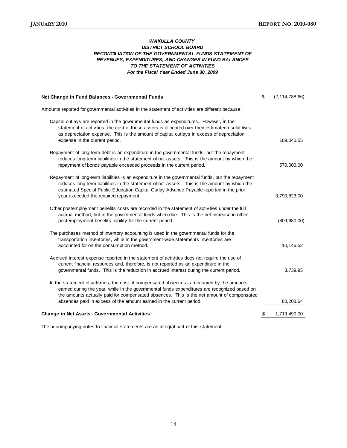#### *For the Fiscal Year Ended June 30, 2009 REVENUES, EXPENDITURES, AND CHANGES IN FUND BALANCES DISTRICT SCHOOL BOARD WAKULLA COUNTY RECONCILIATION OF THE GOVERNMENTAL FUNDS STATEMENT OF TO THE STATEMENT OF ACTIVITIES*

| Net Change in Fund Balances - Governmental Funds                                                                                                                                                                                                                                                                                                                | \$ | (2, 114, 788.66) |
|-----------------------------------------------------------------------------------------------------------------------------------------------------------------------------------------------------------------------------------------------------------------------------------------------------------------------------------------------------------------|----|------------------|
| Amounts reported for governmental activities in the statement of activities are different because:                                                                                                                                                                                                                                                              |    |                  |
| Capital outlays are reported in the governmental funds as expenditures. However, in the<br>statement of activities, the cost of those assets is allocated over their estimated useful lives<br>as depreciation expense. This is the amount of capital outlays in excess of depreciation<br>expense in the current period.                                       |    | 189,040.55       |
| Repayment of long-term debt is an expenditure in the governmental funds, but the repayment<br>reduces long-term liabilities in the statement of net assets. This is the amount by which the<br>repayment of bonds payable exceeded proceeds in the current period.                                                                                              |    | 570,000.00       |
| Repayment of long-term liabilities is an expenditure in the governmental funds, but the repayment<br>reduces long-term liabilities in the statement of net assets. This is the amount by which the<br>estimated Special Public Education Capital Outlay Advance Payable reported in the prior<br>year exceeded the required repayment.                          |    | 3,790,823.00     |
| Other postemployment benefits costs are recorded in the statement of activities under the full<br>accrual method, but in the governmental funds when due. This is the net increase in other<br>postemployment benefits liability for the current period.                                                                                                        |    | (809, 680.00)    |
| The purchases method of inventory accounting is used in the governmental funds for the<br>transportation inventories, while in the government-wide statements inventories are<br>accounted for on the consumption method.                                                                                                                                       |    | 10,146.52        |
| Accrued interest expense reported in the statement of activities does not require the use of<br>current financial resources and, therefore, is not reported as an expenditure in the<br>governmental funds. This is the reduction in accrued interest during the current period.                                                                                |    | 3,739.95         |
| In the statement of activities, the cost of compensated absences is measured by the amounts<br>earned during the year, while in the governmental funds expenditures are recognized based on<br>the amounts actually paid for compensated absences. This is the net amount of compensated<br>absences paid in excess of the amount earned in the current period. |    | 80,208.64        |
| <b>Change in Net Assets - Governmental Activities</b>                                                                                                                                                                                                                                                                                                           | S  | 1,719,490.00     |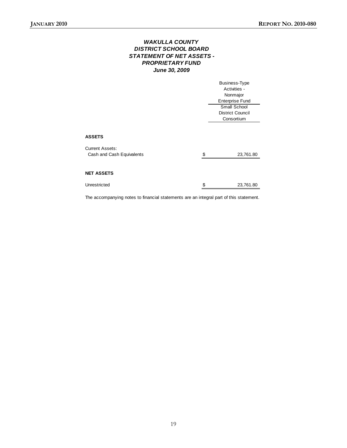#### *WAKULLA COUNTY STATEMENT OF NET ASSETS - PROPRIETARY FUND June 30, 2009 DISTRICT SCHOOL BOARD*

|                           | <b>Business-Type</b>    |  |  |
|---------------------------|-------------------------|--|--|
|                           | Activities -            |  |  |
|                           | Nonmajor                |  |  |
|                           | <b>Enterprise Fund</b>  |  |  |
|                           | Small School            |  |  |
|                           | <b>District Council</b> |  |  |
|                           | Consortium              |  |  |
|                           |                         |  |  |
| <b>ASSETS</b>             |                         |  |  |
| <b>Current Assets:</b>    |                         |  |  |
| Cash and Cash Equivalents | \$<br>23,761.80         |  |  |
|                           |                         |  |  |
| <b>NET ASSETS</b>         |                         |  |  |
| Unrestricted              | \$<br>23,761.80         |  |  |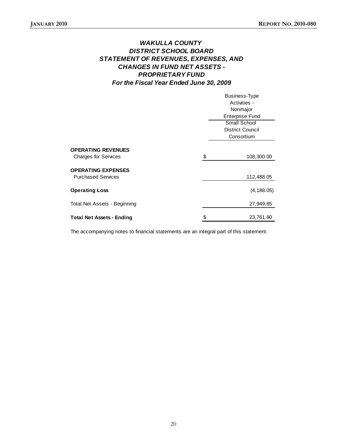## *WAKULLA COUNTY STATEMENT OF REVENUES, EXPENSES, AND CHANGES IN FUND NET ASSETS - PROPRIETARY FUND For the Fiscal Year Ended June 30, 2009 DISTRICT SCHOOL BOARD*

|                                     | <b>Business-Type</b>    |
|-------------------------------------|-------------------------|
|                                     | Activities -            |
|                                     | Nonmajor                |
|                                     | <b>Enterprise Fund</b>  |
|                                     | Small School            |
|                                     | <b>District Council</b> |
|                                     | Consortium              |
| <b>OPERATING REVENUES</b>           |                         |
| <b>Charges for Services</b>         | \$<br>108,300.00        |
| <b>OPERATING EXPENSES</b>           |                         |
| <b>Purchased Services</b>           | 112,488.05              |
| <b>Operating Loss</b>               | (4, 188.05)             |
| <b>Total Net Assets - Beginning</b> | 27,949.85               |
| <b>Total Net Assets - Ending</b>    | \$<br>23,761.80         |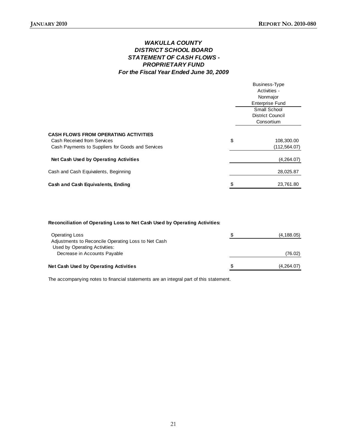## *WAKULLA COUNTY STATEMENT OF CASH FLOWS - PROPRIETARY FUND For the Fiscal Year Ended June 30, 2009 DISTRICT SCHOOL BOARD*

|                                                   |              | <b>Business-Type</b>    |
|---------------------------------------------------|--------------|-------------------------|
|                                                   |              | Activities -            |
|                                                   |              | Nonmajor                |
|                                                   |              | <b>Enterprise Fund</b>  |
|                                                   | Small School |                         |
|                                                   |              | <b>District Council</b> |
|                                                   |              | Consortium              |
| <b>CASH FLOWS FROM OPERATING ACTIVITIES</b>       |              |                         |
| Cash Received from Services                       | \$           | 108,300.00              |
| Cash Payments to Suppliers for Goods and Services |              | (112, 564.07)           |
| Net Cash Used by Operating Activities             |              | (4,264.07)              |
| Cash and Cash Equivalents, Beginning              |              | 28,025.87               |
| Cash and Cash Equivalents, Ending                 | \$           | 23,761.80               |

#### **Reconciliation of Operating Loss to Net Cash Used by Operating Activities:**

| <b>Operating Loss</b>                               | \$<br>(4, 188.05) |
|-----------------------------------------------------|-------------------|
| Adjustments to Reconcile Operating Loss to Net Cash |                   |
| Used by Operating Activities:                       |                   |
| Decrease in Accounts Payable                        | (76.02)           |
| Net Cash Used by Operating Activities               | \$<br>(4,264.07)  |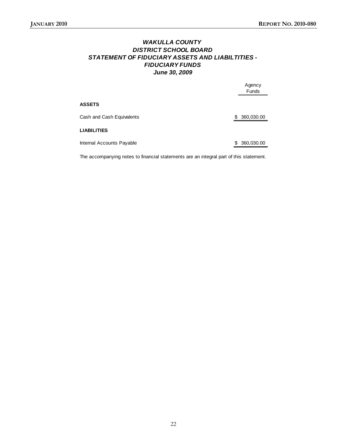## *June 30, 2009 DISTRICT SCHOOL BOARD WAKULLA COUNTY STATEMENT OF FIDUCIARY ASSETS AND LIABILTITIES - FIDUCIARY FUNDS*

|                           |     | Agency<br><b>Funds</b> |
|---------------------------|-----|------------------------|
| <b>ASSETS</b>             |     |                        |
| Cash and Cash Equivalents | \$. | 360,030.00             |
| <b>LIABILITIES</b>        |     |                        |
| Internal Accounts Payable | S.  | 360,030.00             |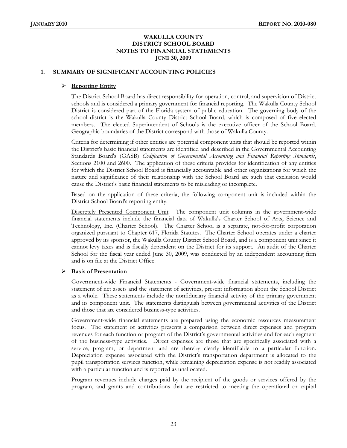#### **1. SUMMARY OF SIGNIFICANT ACCOUNTING POLICIES**

#### ¾ **Reporting Entity**

The District School Board has direct responsibility for operation, control, and supervision of District schools and is considered a primary government for financial reporting. The Wakulla County School District is considered part of the Florida system of public education. The governing body of the school district is the Wakulla County District School Board, which is composed of five elected members. The elected Superintendent of Schools is the executive officer of the School Board. Geographic boundaries of the District correspond with those of Wakulla County.

Criteria for determining if other entities are potential component units that should be reported within the District's basic financial statements are identified and described in the Governmental Accounting Standards Board's (GASB) *Codification of Governmental Accounting and Financial Reporting Standards*, Sections 2100 and 2600. The application of these criteria provides for identification of any entities for which the District School Board is financially accountable and other organizations for which the nature and significance of their relationship with the School Board are such that exclusion would cause the District's basic financial statements to be misleading or incomplete.

Based on the application of these criteria, the following component unit is included within the District School Board's reporting entity:

Discretely Presented Component Unit. The component unit columns in the government-wide financial statements include the financial data of Wakulla's Charter School of Arts, Science and Technology, Inc. (Charter School). The Charter School is a separate, not-for-profit corporation organized pursuant to Chapter 617, Florida Statutes. The Charter School operates under a charter approved by its sponsor, the Wakulla County District School Board, and is a component unit since it cannot levy taxes and is fiscally dependent on the District for its support. An audit of the Charter School for the fiscal year ended June 30, 2009, was conducted by an independent accounting firm and is on file at the District Office.

#### ¾ **Basis of Presentation**

Government-wide Financial Statements - Government-wide financial statements, including the statement of net assets and the statement of activities, present information about the School District as a whole. These statements include the nonfiduciary financial activity of the primary government and its component unit. The statements distinguish between governmental activities of the District and those that are considered business-type activities.

Government-wide financial statements are prepared using the economic resources measurement focus. The statement of activities presents a comparison between direct expenses and program revenues for each function or program of the District's governmental activities and for each segment of the business-type activities. Direct expenses are those that are specifically associated with a service, program, or department and are thereby clearly identifiable to a particular function. Depreciation expense associated with the District's transportation department is allocated to the pupil transportation services function, while remaining depreciation expense is not readily associated with a particular function and is reported as unallocated.

Program revenues include charges paid by the recipient of the goods or services offered by the program, and grants and contributions that are restricted to meeting the operational or capital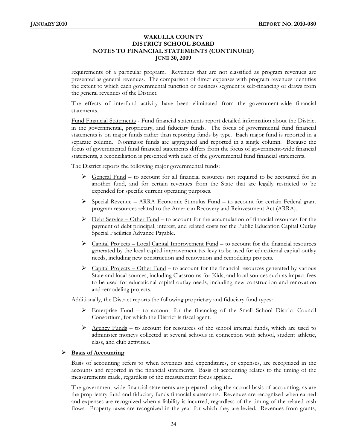requirements of a particular program. Revenues that are not classified as program revenues are presented as general revenues. The comparison of direct expenses with program revenues identifies the extent to which each governmental function or business segment is self-financing or draws from the general revenues of the District.

The effects of interfund activity have been eliminated from the government-wide financial statements.

Fund Financial Statements - Fund financial statements report detailed information about the District in the governmental, proprietary, and fiduciary funds. The focus of governmental fund financial statements is on major funds rather than reporting funds by type. Each major fund is reported in a separate column. Nonmajor funds are aggregated and reported in a single column. Because the focus of governmental fund financial statements differs from the focus of government-wide financial statements, a reconciliation is presented with each of the governmental fund financial statements.

The District reports the following major governmental funds:

- $\triangleright$  General Fund to account for all financial resources not required to be accounted for in another fund, and for certain revenues from the State that are legally restricted to be expended for specific current operating purposes.
- $\triangleright$  Special Revenue ARRA Economic Stimulus Fund to account for certain Federal grant program resources related to the American Recovery and Reinvestment Act (ARRA).
- $\triangleright$  Debt Service Other Fund to account for the accumulation of financial resources for the payment of debt principal, interest, and related costs for the Public Education Capital Outlay Special Facilities Advance Payable.
- $\triangleright$  Capital Projects Local Capital Improvement Fund to account for the financial resources generated by the local capital improvement tax levy to be used for educational capital outlay needs, including new construction and renovation and remodeling projects.
- $\triangleright$  Capital Projects Other Fund to account for the financial resources generated by various State and local sources, including Classrooms for Kids, and local sources such as impact fees to be used for educational capital outlay needs, including new construction and renovation and remodeling projects.

Additionally, the District reports the following proprietary and fiduciary fund types:

- $\triangleright$  Enterprise Fund to account for the financing of the Small School District Council Consortium, for which the District is fiscal agent.
- $\geq$  Agency Funds to account for resources of the school internal funds, which are used to administer moneys collected at several schools in connection with school, student athletic, class, and club activities.

#### ¾ **Basis of Accounting**

Basis of accounting refers to when revenues and expenditures, or expenses, are recognized in the accounts and reported in the financial statements. Basis of accounting relates to the timing of the measurements made, regardless of the measurement focus applied.

The government-wide financial statements are prepared using the accrual basis of accounting, as are the proprietary fund and fiduciary funds financial statements. Revenues are recognized when earned and expenses are recognized when a liability is incurred, regardless of the timing of the related cash flows. Property taxes are recognized in the year for which they are levied. Revenues from grants,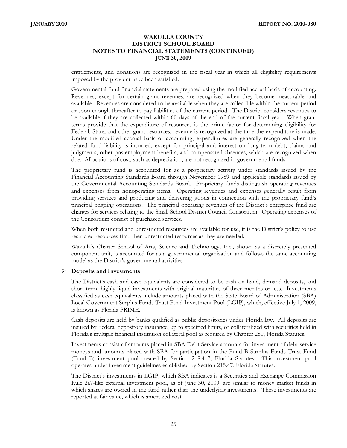entitlements, and donations are recognized in the fiscal year in which all eligibility requirements imposed by the provider have been satisfied.

Governmental fund financial statements are prepared using the modified accrual basis of accounting. Revenues, except for certain grant revenues, are recognized when they become measurable and available. Revenues are considered to be available when they are collectible within the current period or soon enough thereafter to pay liabilities of the current period. The District considers revenues to be available if they are collected within 60 days of the end of the current fiscal year. When grant terms provide that the expenditure of resources is the prime factor for determining eligibility for Federal, State, and other grant resources, revenue is recognized at the time the expenditure is made. Under the modified accrual basis of accounting, expenditures are generally recognized when the related fund liability is incurred, except for principal and interest on long-term debt, claims and judgments, other postemployment benefits, and compensated absences, which are recognized when due. Allocations of cost, such as depreciation, are not recognized in governmental funds.

The proprietary fund is accounted for as a proprietary activity under standards issued by the Financial Accounting Standards Board through November 1989 and applicable standards issued by the Governmental Accounting Standards Board. Proprietary funds distinguish operating revenues and expenses from nonoperating items. Operating revenues and expenses generally result from providing services and producing and delivering goods in connection with the proprietary fund's principal ongoing operations. The principal operating revenues of the District's enterprise fund are charges for services relating to the Small School District Council Consortium. Operating expenses of the Consortium consist of purchased services.

When both restricted and unrestricted resources are available for use, it is the District's policy to use restricted resources first, then unrestricted resources as they are needed.

Wakulla's Charter School of Arts, Science and Technology, Inc., shown as a discretely presented component unit, is accounted for as a governmental organization and follows the same accounting model as the District's governmental activities.

#### ¾ **Deposits and Investments**

The District's cash and cash equivalents are considered to be cash on hand, demand deposits, and short-term, highly liquid investments with original maturities of three months or less. Investments classified as cash equivalents include amounts placed with the State Board of Administration (SBA) Local Government Surplus Funds Trust Fund Investment Pool (LGIP), which, effective July 1, 2009, is known as Florida PRIME.

Cash deposits are held by banks qualified as public depositories under Florida law. All deposits are insured by Federal depository insurance, up to specified limits, or collateralized with securities held in Florida's multiple financial institution collateral pool as required by Chapter 280, Florida Statutes.

Investments consist of amounts placed in SBA Debt Service accounts for investment of debt service moneys and amounts placed with SBA for participation in the Fund B Surplus Funds Trust Fund (Fund B) investment pool created by Section 218.417, Florida Statutes. This investment pool operates under investment guidelines established by Section 215.47, Florida Statutes.

The District's investments in LGIP, which SBA indicates is a Securities and Exchange Commission Rule 2a7-like external investment pool, as of June 30, 2009, are similar to money market funds in which shares are owned in the fund rather than the underlying investments. These investments are reported at fair value, which is amortized cost.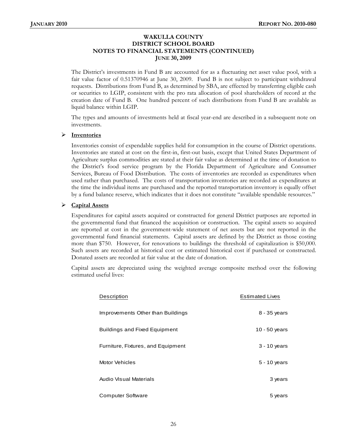The District's investments in Fund B are accounted for as a fluctuating net asset value pool, with a fair value factor of 0.51370946 at June 30, 2009. Fund B is not subject to participant withdrawal requests. Distributions from Fund B, as determined by SBA, are effected by transferring eligible cash or securities to LGIP, consistent with the pro rata allocation of pool shareholders of record at the creation date of Fund B. One hundred percent of such distributions from Fund B are available as liquid balance within LGIP.

The types and amounts of investments held at fiscal year-end are described in a subsequent note on investments.

#### ¾ **Inventories**

Inventories consist of expendable supplies held for consumption in the course of District operations. Inventories are stated at cost on the first-in, first-out basis, except that United States Department of Agriculture surplus commodities are stated at their fair value as determined at the time of donation to the District's food service program by the Florida Department of Agriculture and Consumer Services, Bureau of Food Distribution. The costs of inventories are recorded as expenditures when used rather than purchased. The costs of transportation inventories are recorded as expenditures at the time the individual items are purchased and the reported transportation inventory is equally offset by a fund balance reserve, which indicates that it does not constitute "available spendable resources."

#### ¾ **Capital Assets**

Expenditures for capital assets acquired or constructed for general District purposes are reported in the governmental fund that financed the acquisition or construction. The capital assets so acquired are reported at cost in the government-wide statement of net assets but are not reported in the governmental fund financial statements. Capital assets are defined by the District as those costing more than \$750. However, for renovations to buildings the threshold of capitalization is \$50,000. Such assets are recorded at historical cost or estimated historical cost if purchased or constructed. Donated assets are recorded at fair value at the date of donation.

Capital assets are depreciated using the weighted average composite method over the following estimated useful lives:

| Description                          | <b>Estimated Lives</b> |
|--------------------------------------|------------------------|
| Improvements Other than Buildings    | $8 - 35$ years         |
| <b>Buildings and Fixed Equipment</b> | 10 $-50$ years         |
| Furniture, Fixtures, and Equipment   | $3 - 10$ years         |
| <b>Motor Vehicles</b>                | 5 - 10 years           |
| Audio Visual Materials               | 3 years                |
| Computer Software                    | 5 years                |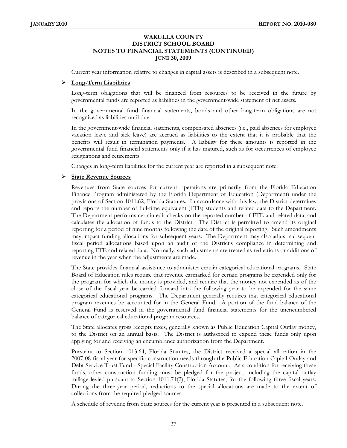Current year information relative to changes in capital assets is described in a subsequent note.

#### ¾ **Long-Term Liabilities**

Long-term obligations that will be financed from resources to be received in the future by governmental funds are reported as liabilities in the government-wide statement of net assets.

In the governmental fund financial statements, bonds and other long-term obligations are not recognized as liabilities until due.

In the government-wide financial statements, compensated absences (i.e., paid absences for employee vacation leave and sick leave) are accrued as liabilities to the extent that it is probable that the benefits will result in termination payments. A liability for these amounts is reported in the governmental fund financial statements only if it has matured, such as for occurrences of employee resignations and retirements.

Changes in long-term liabilities for the current year are reported in a subsequent note.

#### ¾ **State Revenue Sources**

Revenues from State sources for current operations are primarily from the Florida Education Finance Program administered by the Florida Department of Education (Department) under the provisions of Section 1011.62, Florida Statutes. In accordance with this law, the District determines and reports the number of full-time equivalent (FTE) students and related data to the Department. The Department performs certain edit checks on the reported number of FTE and related data, and calculates the allocation of funds to the District. The District is permitted to amend its original reporting for a period of nine months following the date of the original reporting. Such amendments may impact funding allocations for subsequent years. The Department may also adjust subsequent fiscal period allocations based upon an audit of the District's compliance in determining and reporting FTE and related data. Normally, such adjustments are treated as reductions or additions of revenue in the year when the adjustments are made.

The State provides financial assistance to administer certain categorical educational programs. State Board of Education rules require that revenue earmarked for certain programs be expended only for the program for which the money is provided, and require that the money not expended as of the close of the fiscal year be carried forward into the following year to be expended for the same categorical educational programs. The Department generally requires that categorical educational program revenues be accounted for in the General Fund. A portion of the fund balance of the General Fund is reserved in the governmental fund financial statements for the unencumbered balance of categorical educational program resources.

The State allocates gross receipts taxes, generally known as Public Education Capital Outlay money, to the District on an annual basis. The District is authorized to expend these funds only upon applying for and receiving an encumbrance authorization from the Department.

Pursuant to Section 1013.64, Florida Statutes, the District received a special allocation in the 2007-08 fiscal year for specific construction needs through the Public Education Capital Outlay and Debt Service Trust Fund - Special Facility Construction Account. As a condition for receiving these funds, other construction funding must be pledged for the project, including the capital outlay millage levied pursuant to Section 1011.71(2), Florida Statutes, for the following three fiscal years. During the three-year period, reductions to the special allocations are made to the extent of collections from the required pledged sources.

A schedule of revenue from State sources for the current year is presented in a subsequent note.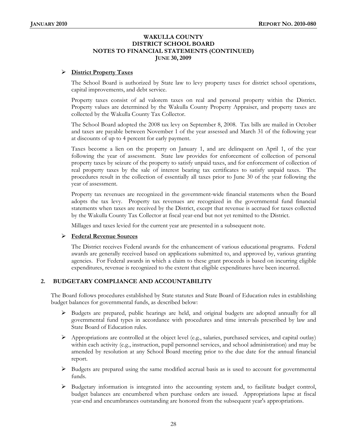#### ¾ **District Property Taxes**

The School Board is authorized by State law to levy property taxes for district school operations, capital improvements, and debt service.

Property taxes consist of ad valorem taxes on real and personal property within the District. Property values are determined by the Wakulla County Property Appraiser, and property taxes are collected by the Wakulla County Tax Collector.

The School Board adopted the 2008 tax levy on September 8, 2008. Tax bills are mailed in October and taxes are payable between November 1 of the year assessed and March 31 of the following year at discounts of up to 4 percent for early payment.

Taxes become a lien on the property on January 1, and are delinquent on April 1, of the year following the year of assessment. State law provides for enforcement of collection of personal property taxes by seizure of the property to satisfy unpaid taxes, and for enforcement of collection of real property taxes by the sale of interest bearing tax certificates to satisfy unpaid taxes. The procedures result in the collection of essentially all taxes prior to June 30 of the year following the year of assessment.

Property tax revenues are recognized in the government-wide financial statements when the Board adopts the tax levy. Property tax revenues are recognized in the governmental fund financial statements when taxes are received by the District, except that revenue is accrued for taxes collected by the Wakulla County Tax Collector at fiscal year-end but not yet remitted to the District.

Millages and taxes levied for the current year are presented in a subsequent note.

#### ¾ **Federal Revenue Sources**

The District receives Federal awards for the enhancement of various educational programs. Federal awards are generally received based on applications submitted to, and approved by, various granting agencies. For Federal awards in which a claim to these grant proceeds is based on incurring eligible expenditures, revenue is recognized to the extent that eligible expenditures have been incurred.

#### **2. BUDGETARY COMPLIANCE AND ACCOUNTABILITY**

The Board follows procedures established by State statutes and State Board of Education rules in establishing budget balances for governmental funds, as described below:

- ¾ Budgets are prepared, public hearings are held, and original budgets are adopted annually for all governmental fund types in accordance with procedures and time intervals prescribed by law and State Board of Education rules.
- ¾ Appropriations are controlled at the object level (e.g., salaries, purchased services, and capital outlay) within each activity (e.g., instruction, pupil personnel services, and school administration) and may be amended by resolution at any School Board meeting prior to the due date for the annual financial report.
- $\triangleright$  Budgets are prepared using the same modified accrual basis as is used to account for governmental funds.
- ¾ Budgetary information is integrated into the accounting system and, to facilitate budget control, budget balances are encumbered when purchase orders are issued. Appropriations lapse at fiscal year-end and encumbrances outstanding are honored from the subsequent year's appropriations.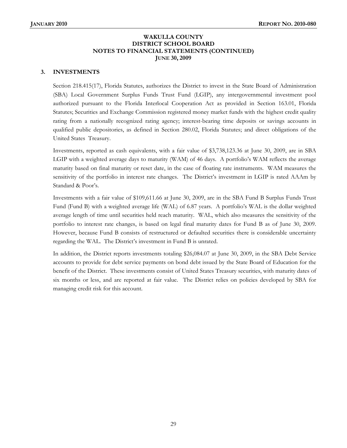#### **3. INVESTMENTS**

Section 218.415(17), Florida Statutes, authorizes the District to invest in the State Board of Administration (SBA) Local Government Surplus Funds Trust Fund (LGIP), any intergovernmental investment pool authorized pursuant to the Florida Interlocal Cooperation Act as provided in Section 163.01, Florida Statutes; Securities and Exchange Commission registered money market funds with the highest credit quality rating from a nationally recognized rating agency; interest-bearing time deposits or savings accounts in qualified public depositories, as defined in Section 280.02, Florida Statutes; and direct obligations of the United States Treasury.

Investments, reported as cash equivalents, with a fair value of \$3,738,123.36 at June 30, 2009, are in SBA LGIP with a weighted average days to maturity (WAM) of 46 days. A portfolio's WAM reflects the average maturity based on final maturity or reset date, in the case of floating rate instruments. WAM measures the sensitivity of the portfolio in interest rate changes. The District's investment in LGIP is rated AAAm by Standard & Poor's.

Investments with a fair value of \$109,611.66 at June 30, 2009, are in the SBA Fund B Surplus Funds Trust Fund (Fund B) with a weighted average life (WAL) of 6.87 years. A portfolio's WAL is the dollar weighted average length of time until securities held reach maturity. WAL, which also measures the sensitivity of the portfolio to interest rate changes, is based on legal final maturity dates for Fund B as of June 30, 2009. However, because Fund B consists of restructured or defaulted securities there is considerable uncertainty regarding the WAL. The District's investment in Fund B is unrated.

In addition, the District reports investments totaling \$26,084.07 at June 30, 2009, in the SBA Debt Service accounts to provide for debt service payments on bond debt issued by the State Board of Education for the benefit of the District. These investments consist of United States Treasury securities, with maturity dates of six months or less, and are reported at fair value. The District relies on policies developed by SBA for managing credit risk for this account.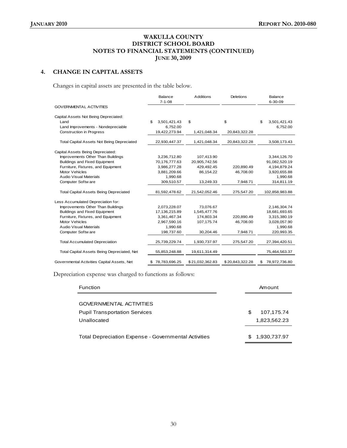## **4. CHANGE IN CAPITAL ASSETS**

Changes in capital assets are presented in the table below.

|                                                   | Balance             | <b>Additions</b> | <b>Deletions</b> | Balance             |
|---------------------------------------------------|---------------------|------------------|------------------|---------------------|
| <b>GOVERNMENTAL ACTIVITIES</b>                    | $7 - 1 - 08$        |                  |                  | $6 - 30 - 09$       |
|                                                   |                     |                  |                  |                     |
| Capital Assets Not Being Depreciated:             |                     |                  |                  |                     |
| Land                                              | \$<br>3,501,421.43  | \$               | \$               | \$<br>3,501,421.43  |
| Land Improvements - Nondepreciable                | 6,752.00            |                  |                  | 6,752.00            |
| <b>Construction in Progress</b>                   | 19,422,273.94       | 1,421,048.34     | 20,843,322.28    |                     |
| <b>Total Capital Assets Not Being Depreciated</b> | 22,930,447.37       | 1,421,048.34     | 20,843,322.28    | 3,508,173.43        |
| Capital Assets Being Depreciated:                 |                     |                  |                  |                     |
| Improvements Other Than Buildings                 | 3,236,712.80        | 107,413.90       |                  | 3,344,126.70        |
| Buildings and Fixed Equipment                     | 70,176,777.63       | 20,905,742.56    |                  | 91,082,520.19       |
| Furniture, Fixtures, and Equipment                | 3,986,277.28        | 429,492.45       | 220,890.49       | 4,194,879.24        |
| Motor Vehicles                                    | 3,881,209.66        | 86,154.22        | 46,708.00        | 3,920,655.88        |
| <b>Audio Visual Materials</b>                     | 1,990.68            |                  |                  | 1,990.68            |
| Computer Softw are                                | 309,510.57          | 13,249.33        | 7,948.71         | 314,811.19          |
| <b>Total Capital Assets Being Depreciated</b>     | 81,592,478.62       | 21,542,052.46    | 275,547.20       | 102,858,983.88      |
| Less Accumulated Depreciation for:                |                     |                  |                  |                     |
| Improvements Other Than Buildings                 | 2,073,228.07        | 73,076.67        |                  | 2,146,304.74        |
| Buildings and Fixed Equipment                     | 17,136,215.89       | 1,545,477.76     |                  | 18,681,693.65       |
| Furniture, Fixtures, and Equipment                | 3,361,467.34        | 174,803.34       | 220,890.49       | 3,315,380.19        |
| <b>Motor Vehicles</b>                             | 2,967,590.16        | 107,175.74       | 46,708.00        | 3,028,057.90        |
| <b>Audio Visual Materials</b>                     | 1,990.68            |                  |                  | 1,990.68            |
| Computer Softw are                                | 198,737.60          | 30,204.46        | 7,948.71         | 220,993.35          |
| <b>Total Accumulated Depreciation</b>             | 25,739,229.74       | 1,930,737.97     | 275,547.20       | 27,394,420.51       |
| Total Capital Assets Being Depreciated, Net       | 55,853,248.88       | 19,611,314.49    |                  | 75,464,563.37       |
| Governmental Activities Capital Assets, Net       | 78,783,696.25<br>\$ | \$21,032,362.83  | \$20,843,322.28  | 78,972,736.80<br>\$ |

Depreciation expense was charged to functions as follows:

| Function                                                        |     | Amount       |  |  |
|-----------------------------------------------------------------|-----|--------------|--|--|
| GOVERNMENTAL ACTIVITIES<br><b>Pupil Transportation Services</b> | \$. | 107,175.74   |  |  |
| Unallocated                                                     |     | 1,823,562.23 |  |  |
| <b>Total Depreciation Expense - Governmental Activities</b>     |     | 1,930,737.97 |  |  |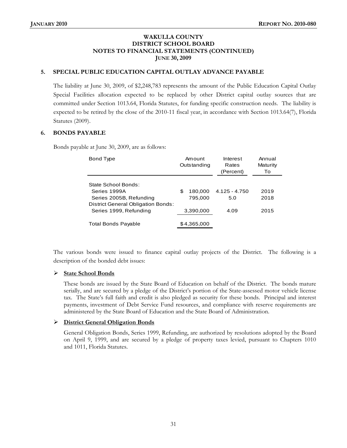## **5. SPECIAL PUBLIC EDUCATION CAPITAL OUTLAY ADVANCE PAYABLE**

The liability at June 30, 2009, of \$2,248,783 represents the amount of the Public Education Capital Outlay Special Facilities allocation expected to be replaced by other District capital outlay sources that are committed under Section 1013.64, Florida Statutes, for funding specific construction needs. The liability is expected to be retired by the close of the 2010-11 fiscal year, in accordance with Section 1013.64(7), Florida Statutes (2009).

#### **6. BONDS PAYABLE**

Bonds payable at June 30, 2009, are as follows:

| Bond Type                          | Amount<br>Outstanding |             | Interest<br>Rates<br>(Percent) | Annual<br>Maturity<br>To |
|------------------------------------|-----------------------|-------------|--------------------------------|--------------------------|
| State School Bonds:                |                       |             |                                |                          |
| Series 1999A                       | S                     | 180,000     | $4.125 - 4.750$                | 2019                     |
| Series 2005B, Refunding            |                       | 795,000     | 5.0                            | 2018                     |
| District General Obligation Bonds: |                       |             |                                |                          |
| Series 1999, Refunding             |                       | 3,390,000   | 4.09                           | 2015                     |
|                                    |                       |             |                                |                          |
| <b>Total Bonds Payable</b>         |                       | \$4.365.000 |                                |                          |

The various bonds were issued to finance capital outlay projects of the District. The following is a description of the bonded debt issues:

#### ¾ **State School Bonds**

These bonds are issued by the State Board of Education on behalf of the District. The bonds mature serially, and are secured by a pledge of the District's portion of the State-assessed motor vehicle license tax. The State's full faith and credit is also pledged as security for these bonds. Principal and interest payments, investment of Debt Service Fund resources, and compliance with reserve requirements are administered by the State Board of Education and the State Board of Administration.

#### ¾ **District General Obligation Bonds**

General Obligation Bonds, Series 1999, Refunding, are authorized by resolutions adopted by the Board on April 9, 1999, and are secured by a pledge of property taxes levied, pursuant to Chapters 1010 and 1011, Florida Statutes.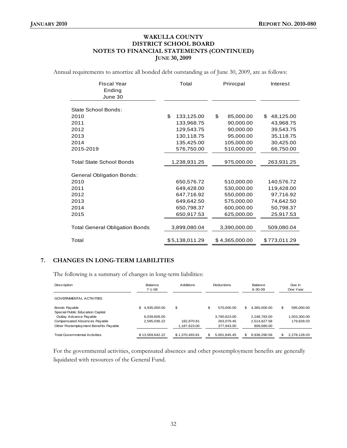Annual requirements to amortize all bonded debt outstanding as of June 30, 2009, are as follows:

| <b>Fiscal Year</b><br>Ending<br>June 30 | Total            | Prinicpal       | Interest        |
|-----------------------------------------|------------------|-----------------|-----------------|
|                                         |                  |                 |                 |
| State School Bonds:                     |                  |                 |                 |
| 2010                                    | \$<br>133,125.00 | \$<br>85,000.00 | \$<br>48,125.00 |
| 2011                                    | 133,968.75       | 90,000.00       | 43,968.75       |
| 2012                                    | 129,543.75       | 90,000.00       | 39,543.75       |
| 2013                                    | 130,118.75       | 95,000.00       | 35,118.75       |
| 2014                                    | 135,425.00       | 105,000.00      | 30,425.00       |
| 2015-2019                               | 576,750.00       | 510,000.00      | 66,750.00       |
|                                         |                  |                 |                 |
| <b>Total State School Bonds</b>         | 1,238,931.25     | 975,000.00      | 263,931.25      |
| General Obligation Bonds:               |                  |                 |                 |
| 2010                                    | 650,576.72       | 510,000.00      | 140,576.72      |
| 2011                                    | 649,428.00       | 530,000.00      | 119,428.00      |
| 2012                                    | 647,716.92       | 550,000.00      | 97,716.92       |
| 2013                                    | 649,642.50       | 575,000.00      | 74,642.50       |
| 2014                                    | 650,798.37       | 600,000.00      | 50,798.37       |
| 2015                                    | 650,917.53       | 625,000.00      | 25,917.53       |
| <b>Total General Obligation Bonds</b>   | 3,899,080.04     | 3,390,000.00    | 509,080.04      |
| Total                                   | \$5,138,011.29   | \$4,365,000.00  | \$773,011.29    |

## **7. CHANGES IN LONG-TERM LIABILITIES**

The following is a summary of changes in long-term liabilities:

| Description                           | Balance<br>$7 - 1 - 08$ | Additions      | Deductions          | Balance<br>$6 - 30 - 09$ | Due in<br>One Year  |
|---------------------------------------|-------------------------|----------------|---------------------|--------------------------|---------------------|
| <b>GOVERNMENTAL ACTIVITIES</b>        |                         |                |                     |                          |                     |
| Bonds Payable                         | 4.935.000.00<br>\$.     | \$             | \$<br>570.000.00    | \$<br>4.365.000.00       | \$<br>595,000.00    |
| Special Public Education Capital      |                         |                |                     |                          |                     |
| Outlay Advance Payable                | 6.039.606.00            |                | 3.790.823.00        | 2.248.783.00             | 1.503.300.00        |
| Compensated Absences Payable          | 2.595.036.22            | 182.870.81     | 263.079.45          | 2.514.827.58             | 179.828.03          |
| Other Postemployment Benefits Payable |                         | 1.187.623.00   | 377.943.00          | 809.680.00               |                     |
| <b>Total Governmental Activities</b>  | \$13.569.642.22         | \$1.370.493.81 | \$.<br>5.001.845.45 | 9.938.290.58             | \$.<br>2.278.128.03 |

For the governmental activities, compensated absences and other postemployment benefits are generally liquidated with resources of the General Fund.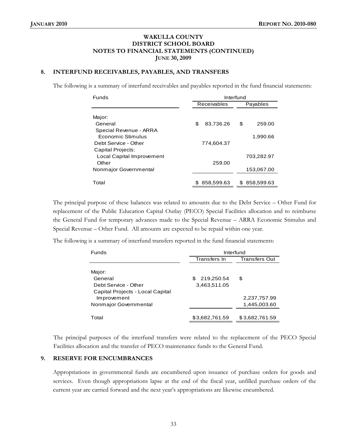## **8. INTERFUND RECEIVABLES, PAYABLES, AND TRANSFERS**

The following is a summary of interfund receivables and payables reported in the fund financial statements:

| <b>Funds</b>                                   |                 | Interfund       |  |  |  |  |
|------------------------------------------------|-----------------|-----------------|--|--|--|--|
|                                                | Receivables     | Payables        |  |  |  |  |
| Major:                                         |                 |                 |  |  |  |  |
| General                                        | \$<br>83.736.26 | \$<br>259.00    |  |  |  |  |
| Special Revenue - ARRA<br>Economic Stimulus    |                 | 1,990.66        |  |  |  |  |
| Debt Service - Other                           | 774,604.37      |                 |  |  |  |  |
| Capital Projects:<br>Local Capital Improvement |                 | 703,282.97      |  |  |  |  |
| Other                                          | 259.00          |                 |  |  |  |  |
| Nonmajor Governmental                          |                 | 153,067.00      |  |  |  |  |
| Total                                          | 858,599.63<br>S | 858,599.63<br>S |  |  |  |  |

The principal purpose of these balances was related to amounts due to the Debt Service – Other Fund for replacement of the Public Education Capital Outlay (PECO) Special Facilities allocation and to reimburse the General Fund for temporary advances made to the Special Revenue – ARRA Economic Stimulus and Special Revenue – Other Fund. All amounts are expected to be repaid within one year.

The following is a summary of interfund transfers reported in the fund financial statements:

| <b>Funds</b>                     |                   | Interfund            |  |  |  |  |
|----------------------------------|-------------------|----------------------|--|--|--|--|
|                                  | Transfers In      | <b>Transfers Out</b> |  |  |  |  |
| Major:                           |                   |                      |  |  |  |  |
| General                          | 219,250.54<br>SS. | S                    |  |  |  |  |
| Debt Service - Other             | 3,463,511.05      |                      |  |  |  |  |
| Capital Projects - Local Capital |                   |                      |  |  |  |  |
| Improvement                      |                   | 2,237,757.99         |  |  |  |  |
| Nonmajor Governmental            |                   | 1,445,003.60         |  |  |  |  |
| Total                            | \$3,682,761.59    | \$3,682,761.59       |  |  |  |  |

The principal purposes of the interfund transfers were related to the replacement of the PECO Special Facilities allocation and the transfer of PECO maintenance funds to the General Fund.

#### **9. RESERVE FOR ENCUMBRANCES**

Appropriations in governmental funds are encumbered upon issuance of purchase orders for goods and services. Even though appropriations lapse at the end of the fiscal year, unfilled purchase orders of the current year are carried forward and the next year's appropriations are likewise encumbered.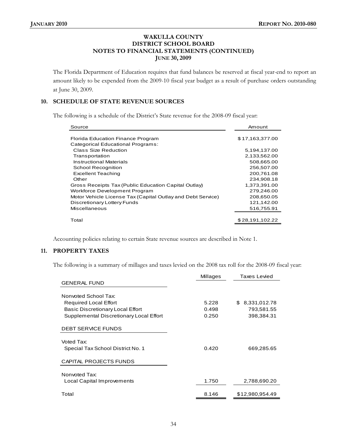The Florida Department of Education requires that fund balances be reserved at fiscal year-end to report an amount likely to be expended from the 2009-10 fiscal year budget as a result of purchase orders outstanding at June 30, 2009.

## **10. SCHEDULE OF STATE REVENUE SOURCES**

The following is a schedule of the District's State revenue for the 2008-09 fiscal year:

| Source                                                      | Amount          |
|-------------------------------------------------------------|-----------------|
|                                                             |                 |
| Florida Education Finance Program                           | \$17,163,377.00 |
| Categorical Educational Programs:                           |                 |
| Class Size Reduction                                        | 5,194,137.00    |
| Transportation                                              | 2,133,562.00    |
| <b>Instructional Materials</b>                              | 508,665.00      |
| <b>School Recognition</b>                                   | 256,507.00      |
| <b>Excellent Teaching</b>                                   | 200.761.08      |
| Other                                                       | 234,908.18      |
| Gross Receipts Tax (Public Education Capital Outlay)        | 1,373,391.00    |
| <b>Workforce Development Program</b>                        | 279,246.00      |
| Motor Vehicle License Tax (Capital Outlay and Debt Service) | 208,650.05      |
| <b>Discretionary Lottery Funds</b>                          | 121,142.00      |
| <b>Miscellaneous</b>                                        | 516,755.91      |
|                                                             |                 |
| Total                                                       | \$28,191,102.22 |

Accounting policies relating to certain State revenue sources are described in Note 1.

#### **11. PROPERTY TAXES**

The following is a summary of millages and taxes levied on the 2008 tax roll for the 2008-09 fiscal year:

|                                         | Millages | Taxes Levied       |
|-----------------------------------------|----------|--------------------|
| <b>GENERAL FUND</b>                     |          |                    |
|                                         |          |                    |
| Nonvoted School Tax:                    |          |                    |
| <b>Required Local Effort</b>            | 5.228    | 8,331,012.78<br>\$ |
| <b>Basic Discretionary Local Effort</b> | 0.498    | 793,581.55         |
| Supplemental Discretionary Local Effort | 0.250    | 398,384.31         |
| <b>DEBT SERVICE FUNDS</b>               |          |                    |
| Voted Tax:                              |          |                    |
| Special Tax School District No. 1       | 0.420    | 669,285.65         |
| CAPITAL PROJECTS FUNDS                  |          |                    |
| Nonvoted Tax:                           |          |                    |
| Local Capital Improvements              | 1.750    | 2,788,690.20       |
| Total                                   | 8.146    | \$12,980,954.49    |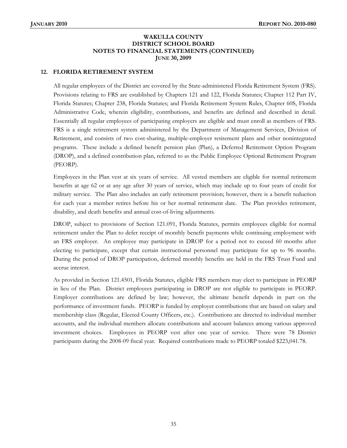#### **12. FLORIDA RETIREMENT SYSTEM**

All regular employees of the District are covered by the State-administered Florida Retirement System (FRS). Provisions relating to FRS are established by Chapters 121 and 122, Florida Statutes; Chapter 112 Part IV, Florida Statutes; Chapter 238, Florida Statutes; and Florida Retirement System Rules, Chapter 60S, Florida Administrative Code, wherein eligibility, contributions, and benefits are defined and described in detail. Essentially all regular employees of participating employers are eligible and must enroll as members of FRS. FRS is a single retirement system administered by the Department of Management Services, Division of Retirement, and consists of two cost-sharing, multiple-employer retirement plans and other nonintegrated programs. These include a defined benefit pension plan (Plan), a Deferred Retirement Option Program (DROP), and a defined contribution plan, referred to as the Public Employee Optional Retirement Program (PEORP).

Employees in the Plan vest at six years of service. All vested members are eligible for normal retirement benefits at age 62 or at any age after 30 years of service, which may include up to four years of credit for military service. The Plan also includes an early retirement provision; however, there is a benefit reduction for each year a member retires before his or her normal retirement date. The Plan provides retirement, disability, and death benefits and annual cost-of-living adjustments.

DROP, subject to provisions of Section 121.091, Florida Statutes, permits employees eligible for normal retirement under the Plan to defer receipt of monthly benefit payments while continuing employment with an FRS employer. An employee may participate in DROP for a period not to exceed 60 months after electing to participate, except that certain instructional personnel may participate for up to 96 months. During the period of DROP participation, deferred monthly benefits are held in the FRS Trust Fund and accrue interest.

As provided in Section 121.4501, Florida Statutes, eligible FRS members may elect to participate in PEORP in lieu of the Plan. District employees participating in DROP are not eligible to participate in PEORP. Employer contributions are defined by law; however, the ultimate benefit depends in part on the performance of investment funds. PEORP is funded by employer contributions that are based on salary and membership class (Regular, Elected County Officers, etc.). Contributions are directed to individual member accounts, and the individual members allocate contributions and account balances among various approved investment choices. Employees in PEORP vest after one year of service. There were 78 District participants during the 2008-09 fiscal year. Required contributions made to PEORP totaled \$223,041.78.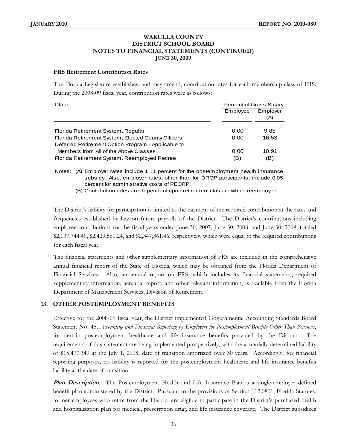#### **FRS Retirement Contribution Rates**

The Florida Legislature establishes, and may amend, contribution rates for each membership class of FRS. During the 2008-09 fiscal year, contribution rates were as follows:

| Class                                                                                    |          | Percent of Gross Salary |  |  |  |
|------------------------------------------------------------------------------------------|----------|-------------------------|--|--|--|
|                                                                                          | Employee | Employer<br>(A)         |  |  |  |
|                                                                                          | 0.00     | 9.85                    |  |  |  |
| Florida Retirement System, Regular<br>Florida Retirement System, Elected County Officers | 0.00     | 16.53                   |  |  |  |
| Deferred Retirement Option Program - Applicable to                                       |          |                         |  |  |  |
| Members from All of the Above Classes                                                    | 0.00     | 10.91                   |  |  |  |
| Florida Retirement System, Reemployed Retiree                                            | (B)      | (B)                     |  |  |  |

Notes: (A) Employer rates include 1.11 percent for the postemployment health insurance subsidy. Also, employer rates, other than for DROP participants, include 0.05 percent for administrative costs of PEORP.

(B) Contribution rates are dependent upon retirement class in which reemployed.

The District's liability for participation is limited to the payment of the required contribution at the rates and frequencies established by law on future payrolls of the District. The District's contributions including employee contributions for the fiscal years ended June 30, 2007, June 30, 2008, and June 30, 2009, totaled \$2,137,744.49, \$2,429,561.24, and \$2,347,361.46, respectively, which were equal to the required contributions for each fiscal year.

The financial statements and other supplementary information of FRS are included in the comprehensive annual financial report of the State of Florida, which may be obtained from the Florida Department of Financial Services. Also, an annual report on FRS, which includes its financial statements, required supplementary information, actuarial report, and other relevant information, is available from the Florida Department of Management Services, Division of Retirement.

#### **13. OTHER POSTEMPLOYMENT BENEFITS**

Effective for the 2008-09 fiscal year, the District implemented Governmental Accounting Standards Board Statement No. 45, *Accounting and Financial Reporting by Employers for Postemployment Benefits Other Than Pensions*, for certain postemployment healthcare and life insurance benefits provided by the District. The requirements of this statement are being implemented prospectively, with the actuarially determined liability of \$15,477,349 at the July 1, 2008, date of transition amortized over 30 years. Accordingly, for financial reporting purposes, no liability is reported for the postemployment healthcare and life insurance benefits liability at the date of transition.

**Plan Description**. The Postemployment Health and Life Insurance Plan is a single-employer defined benefit plan administered by the District. Pursuant to the provisions of Section 112.0801, Florida Statutes, former employees who retire from the District are eligible to participate in the District's purchased health and hospitalization plan for medical, prescription drug, and life insurance coverage. The District subsidizes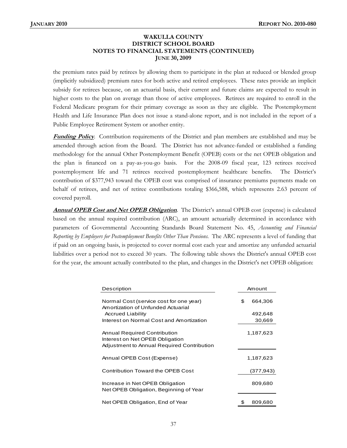the premium rates paid by retirees by allowing them to participate in the plan at reduced or blended group (implicitly subsidized) premium rates for both active and retired employees. These rates provide an implicit subsidy for retirees because, on an actuarial basis, their current and future claims are expected to result in higher costs to the plan on average than those of active employees. Retirees are required to enroll in the Federal Medicare program for their primary coverage as soon as they are eligible. The Postemployment Health and Life Insurance Plan does not issue a stand-alone report, and is not included in the report of a Public Employee Retirement System or another entity.

**Funding Policy**. Contribution requirements of the District and plan members are established and may be amended through action from the Board. The District has not advance-funded or established a funding methodology for the annual Other Postemployment Benefit (OPEB) costs or the net OPEB obligation and the plan is financed on a pay-as-you-go basis. For the 2008-09 fiscal year, 123 retirees received postemployment life and 71 retirees received postemployment healthcare benefits. The District's contribution of \$377,943 toward the OPEB cost was comprised of insurance premiums payments made on behalf of retirees, and net of retiree contributions totaling \$366,588, which represents 2.63 percent of covered payroll.

**Annual OPEB Cost and Net OPEB Obligation**. The District's annual OPEB cost (expense) is calculated based on the annual required contribution (ARC), an amount actuarially determined in accordance with parameters of Governmental Accounting Standards Board Statement No. 45, *Accounting and Financial Reporting by Employers for Postemployment Benefits Other Than Pensions*. The ARC represents a level of funding that if paid on an ongoing basis, is projected to cover normal cost each year and amortize any unfunded actuarial liabilities over a period not to exceed 30 years. The following table shows the District's annual OPEB cost for the year, the amount actually contributed to the plan, and changes in the District's net OPEB obligation:

| Description                                                                                                   |    | Amount            |  |  |
|---------------------------------------------------------------------------------------------------------------|----|-------------------|--|--|
| Normal Cost (service cost for one year)<br>Amortization of Unfunded Actuarial                                 | \$ | 664,306           |  |  |
| <b>Accrued Liability</b><br>Interest on Normal Cost and Amortization                                          |    | 492,648<br>30,669 |  |  |
| Annual Required Contribution<br>Interest on Net OPEB Obligation<br>Adjustment to Annual Required Contribution |    | 1,187,623         |  |  |
| Annual OPEB Cost (Expense)                                                                                    |    | 1,187,623         |  |  |
| Contribution Toward the OPEB Cost                                                                             |    | (377, 943)        |  |  |
| Increase in Net OPEB Obligation<br>Net OPEB Obligation, Beginning of Year                                     |    | 809,680           |  |  |
| Net OPEB Obligation, End of Year                                                                              | S  | 809,680           |  |  |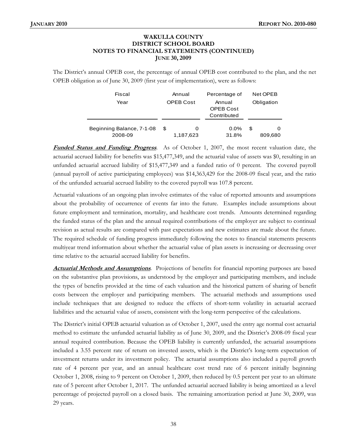The District's annual OPEB cost, the percentage of annual OPEB cost contributed to the plan, and the net OPEB obligation as of June 30, 2009 (first year of implementation), were as follows:

| Fiscal                               |     | Percentage of<br>Annual |                                           | Net OPEB   |         |  |
|--------------------------------------|-----|-------------------------|-------------------------------------------|------------|---------|--|
| Year                                 |     | OPEB Cost               | Annual<br><b>OPEB Cost</b><br>Contributed | Obligation |         |  |
| Beginning Balance, 7-1-08<br>2008-09 | \$. | 1,187,623               | $0.0\%$<br>31.8%                          | S          | 809,680 |  |

**Funded Status and Funding Progress**. As of October 1, 2007, the most recent valuation date, the actuarial accrued liability for benefits was \$15,477,349, and the actuarial value of assets was \$0, resulting in an unfunded actuarial accrued liability of \$15,477,349 and a funded ratio of 0 percent. The covered payroll (annual payroll of active participating employees) was \$14,363,429 for the 2008-09 fiscal year, and the ratio of the unfunded actuarial accrued liability to the covered payroll was 107.8 percent.

Actuarial valuations of an ongoing plan involve estimates of the value of reported amounts and assumptions about the probability of occurrence of events far into the future. Examples include assumptions about future employment and termination, mortality, and healthcare cost trends. Amounts determined regarding the funded status of the plan and the annual required contributions of the employer are subject to continual revision as actual results are compared with past expectations and new estimates are made about the future. The required schedule of funding progress immediately following the notes to financial statements presents multiyear trend information about whether the actuarial value of plan assets is increasing or decreasing over time relative to the actuarial accrued liability for benefits.

**Actuarial Methods and Assumptions**. Projections of benefits for financial reporting purposes are based on the substantive plan provisions, as understood by the employer and participating members, and include the types of benefits provided at the time of each valuation and the historical pattern of sharing of benefit costs between the employer and participating members. The actuarial methods and assumptions used include techniques that are designed to reduce the effects of short-term volatility in actuarial accrued liabilities and the actuarial value of assets, consistent with the long-term perspective of the calculations.

The District's initial OPEB actuarial valuation as of October 1, 2007, used the entry age normal cost actuarial method to estimate the unfunded actuarial liability as of June 30, 2009, and the District's 2008-09 fiscal year annual required contribution. Because the OPEB liability is currently unfunded, the actuarial assumptions included a 3.55 percent rate of return on invested assets, which is the District's long-term expectation of investment returns under its investment policy. The actuarial assumptions also included a payroll growth rate of 4 percent per year, and an annual healthcare cost trend rate of 6 percent initially beginning October 1, 2008, rising to 9 percent on October 1, 2009, then reduced by 0.5 percent per year to an ultimate rate of 5 percent after October 1, 2017. The unfunded actuarial accrued liability is being amortized as a level percentage of projected payroll on a closed basis. The remaining amortization period at June 30, 2009, was 29 years.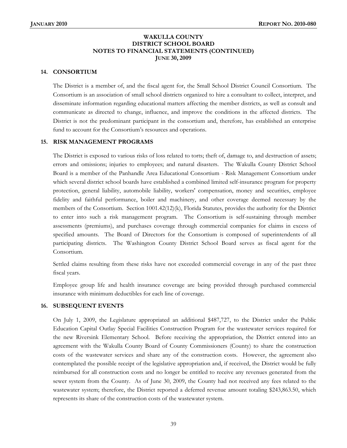#### **14. CONSORTIUM**

The District is a member of, and the fiscal agent for, the Small School District Council Consortium. The Consortium is an association of small school districts organized to hire a consultant to collect, interpret, and disseminate information regarding educational matters affecting the member districts, as well as consult and communicate as directed to change, influence, and improve the conditions in the affected districts. The District is not the predominant participant in the consortium and, therefore, has established an enterprise fund to account for the Consortium's resources and operations.

#### **15. RISK MANAGEMENT PROGRAMS**

The District is exposed to various risks of loss related to torts; theft of, damage to, and destruction of assets; errors and omissions; injuries to employees; and natural disasters. The Wakulla County District School Board is a member of the Panhandle Area Educational Consortium - Risk Management Consortium under which several district school boards have established a combined limited self-insurance program for property protection, general liability, automobile liability, workers' compensation, money and securities, employee fidelity and faithful performance, boiler and machinery, and other coverage deemed necessary by the members of the Consortium. Section 1001.42(12)(k), Florida Statutes, provides the authority for the District to enter into such a risk management program. The Consortium is self-sustaining through member assessments (premiums), and purchases coverage through commercial companies for claims in excess of specified amounts. The Board of Directors for the Consortium is composed of superintendents of all participating districts. The Washington County District School Board serves as fiscal agent for the Consortium.

Settled claims resulting from these risks have not exceeded commercial coverage in any of the past three fiscal years.

Employee group life and health insurance coverage are being provided through purchased commercial insurance with minimum deductibles for each line of coverage.

#### **16. SUBSEQUENT EVENTS**

On July 1, 2009, the Legislature appropriated an additional \$487,727, to the District under the Public Education Capital Outlay Special Facilities Construction Program for the wastewater services required for the new Riversink Elementary School. Before receiving the appropriation, the District entered into an agreement with the Wakulla County Board of County Commissioners (County) to share the construction costs of the wastewater services and share any of the construction costs. However, the agreement also contemplated the possible receipt of the legislative appropriation and, if received, the District would be fully reimbursed for all construction costs and no longer be entitled to receive any revenues generated from the sewer system from the County. As of June 30, 2009, the County had not received any fees related to the wastewater system; therefore, the District reported a deferred revenue amount totaling \$243,863.50, which represents its share of the construction costs of the wastewater system.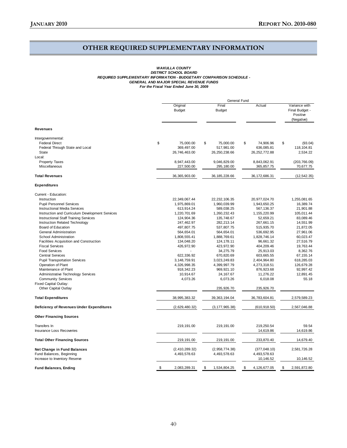## **OTHER REQUIRED SUPPLEMENTARY INFORMATION**

#### *WAKULLA COUNTY DISTRICT SCHOOL BOARD REQUIRED SUPPLEMENTARY INFORMATION - BUDGETARY COMPARISON SCHEDULE - GENERAL AND MAJOR SPECIAL REVENUE FUNDS For the Fiscal Year Ended June 30, 2009*

|                                                           | General Fund              |    |                        |    |                           |    |                                                           |
|-----------------------------------------------------------|---------------------------|----|------------------------|----|---------------------------|----|-----------------------------------------------------------|
|                                                           | Original<br><b>Budget</b> |    | Final<br><b>Budget</b> |    | Actual                    |    | Variance with<br>Final Budget -<br>Positive<br>(Negative) |
| <b>Revenues</b>                                           |                           |    |                        |    |                           |    |                                                           |
| Intergovernmental:                                        |                           |    |                        |    |                           |    |                                                           |
| <b>Federal Direct</b>                                     | \$<br>75,000.00           | \$ | 75,000.00              | \$ | 74,906.96                 | \$ | (93.04)                                                   |
| Federal Through State and Local                           | 369,497.00                |    | 517,981.00             |    | 636,085.81                |    | 118,104.81                                                |
| State                                                     | 26,746,463.00             |    | 26,250,238.66          |    | 26, 252, 772.88           |    | 2,534.22                                                  |
| Local:                                                    |                           |    |                        |    |                           |    |                                                           |
| Property Taxes                                            | 8,947,443.00              |    | 9,046,829.00           |    | 8,843,062.91              |    | (203, 766.09)                                             |
| Miscellaneous                                             | 227,500.00                |    | 295,180.00             |    | 365,857.75                |    | 70,677.75                                                 |
| <b>Total Revenues</b>                                     | 36, 365, 903.00           |    | 36, 185, 228.66        |    | 36, 172, 686. 31          |    | (12, 542.35)                                              |
| <b>Expenditures</b>                                       |                           |    |                        |    |                           |    |                                                           |
|                                                           |                           |    |                        |    |                           |    |                                                           |
| Current - Education:                                      |                           |    |                        |    |                           |    | 1,255,081.65                                              |
| Instruction                                               | 22,349,067.44             |    | 22, 232, 106.35        |    | 20,977,024.70             |    |                                                           |
| <b>Pupil Personnel Services</b>                           | 1,975,869.01              |    | 1,960,039.99           |    | 1,943,650.25              |    | 16,389.74                                                 |
| <b>Instructional Media Services</b>                       | 613,914.24                |    | 589,038.25             |    | 567,136.37                |    | 21,901.88                                                 |
| Instruction and Curriculum Development Services           | 1,220,701.69              |    | 1,260,232.43           |    | 1, 155, 220.99            |    | 105,011.44                                                |
| <b>Instructional Staff Training Services</b>              | 124,904.36                |    | 135,748.67             |    | 52,659.21                 |    | 83,089.46                                                 |
| Instruction Related Technology                            | 247,462.97                |    | 282,213.14             |    | 267,661.15                |    | 14,551.99                                                 |
| <b>Board of Education</b>                                 | 497,807.75                |    | 537,807.75             |    | 515,935.70                |    | 21,872.05                                                 |
| <b>General Administration</b>                             | 564,654.01                |    | 564,654.01             |    | 536,692.95                |    | 27,961.06                                                 |
| School Administration                                     | 1,808,555.41              |    | 1,888,769.61           |    | 1,828,746.14              |    | 60,023.47                                                 |
| Facilities Acquisition and Construction                   | 134,048.20                |    | 124, 178. 11           |    | 96,661.32                 |    | 27,516.79                                                 |
| <b>Fiscal Services</b>                                    | 426,972.90                |    | 423,972.90             |    | 404,209.46                |    | 19,763.44                                                 |
| <b>Food Services</b>                                      |                           |    | 34,275.79              |    | 25,913.03                 |    | 8,362.76                                                  |
| <b>Central Services</b>                                   | 622,336.92                |    | 670,820.69             |    | 603,665.55                |    | 67, 155. 14                                               |
| <b>Pupil Transportation Services</b>                      | 3,148,759.91              |    | 3,023,249.83           |    | 2,404,964.80              |    | 618,285.03                                                |
| Operation of Plant                                        | 4,326,998.35              |    | 4,399,997.79           |    | 4,273,318.51              |    | 126,679.28                                                |
| Maintenance of Plant                                      | 918,342.23                |    | 969,921.10             |    | 876,923.68                |    | 92,997.42                                                 |
| <b>Administrative Technology Services</b>                 | 10,914.67                 |    | 24, 167.67             |    | 11,276.22                 |    | 12,891.45                                                 |
| <b>Community Services</b>                                 | 4,073.26                  |    | 6,073.26               |    | 6,018.08                  |    | 55.18                                                     |
| Fixed Capital Outlay:<br>Other Capital Outlay             |                           |    | 235,926.70             |    | 235,926.70                |    |                                                           |
| <b>Total Expenditures</b>                                 | 38,995,383.32             |    | 39, 363, 194.04        |    | 36,783,604.81             |    | 2,579,589.23                                              |
|                                                           |                           |    |                        |    |                           |    |                                                           |
| Deficiency of Revenues Under Expenditures                 | (2,629,480.32)            |    | (3, 177, 965.38)       |    | (610, 918.50)             |    | 2,567,046.88                                              |
| <b>Other Financing Sources</b>                            |                           |    |                        |    |                           |    |                                                           |
| Transfers In                                              | 219,191.00                |    | 219,191.00             |    | 219,250.54                |    | 59.54                                                     |
| Insurance Loss Recoveries                                 |                           |    |                        |    | 14,619.86                 |    | 14,619.86                                                 |
| <b>Total Other Financing Sources</b>                      | 219,191.00                |    | 219,191.00             |    | 233,870.40                |    | 14,679.40                                                 |
| Net Change in Fund Balances                               | (2,410,289.32)            |    | (2,958,774.38)         |    | (377, 048.10)             |    | 2,581,726.28                                              |
| Fund Balances, Beginning<br>Increase to Inventory Reserve | 4,493,578.63              |    | 4,493,578.63           |    | 4,493,578.63<br>10,146.52 |    | 10,146.52                                                 |
| <b>Fund Balances, Ending</b>                              | \$<br>2,083,289.31        | \$ | 1,534,804.25           | \$ | 4,126,677.05              | \$ | 2,591,872.80                                              |
|                                                           |                           |    |                        |    |                           |    |                                                           |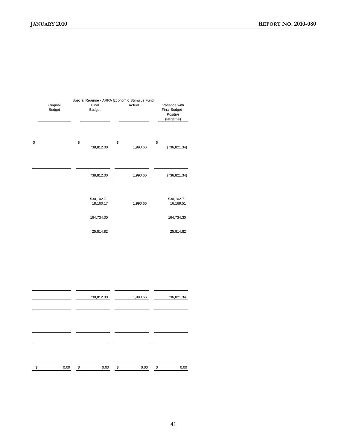|                           | Special Revenue - ARRA Economic Stimulus Fund |        |          |                                                           |
|---------------------------|-----------------------------------------------|--------|----------|-----------------------------------------------------------|
| Original<br><b>Budget</b> | Final<br><b>Budget</b>                        | Actual |          | Variance with<br>Final Budget -<br>Positive<br>(Negative) |
| \$                        | \$<br>738,812.00                              | \$     | 1,990.66 | \$<br>(736, 821.34)                                       |
|                           | 738,812.00                                    |        | 1,990.66 | (736, 821.34)                                             |
|                           | 530, 102.71<br>18,160.17                      |        | 1,990.66 | 530, 102.71<br>16,169.51                                  |
|                           | 164,734.30                                    |        |          | 164,734.30                                                |
|                           | 25,814.82                                     |        |          | 25,814.82                                                 |

|            | 738,812.00 | 1,990.66   | 736,821.34 |
|------------|------------|------------|------------|
|            |            |            |            |
|            |            |            |            |
|            |            |            |            |
|            |            |            |            |
| \$<br>0.00 | \$<br>0.00 | \$<br>0.00 | \$<br>0.00 |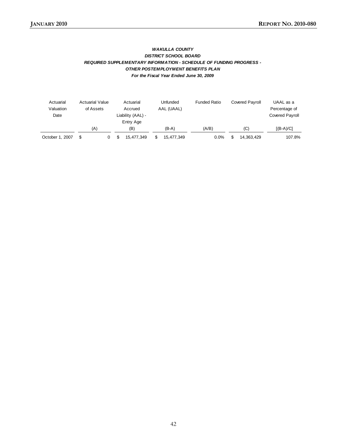#### *WAKULLA COUNTY DISTRICT SCHOOL BOARD REQUIRED SUPPLEMENTARY INFORMATION - SCHEDULE OF FUNDING PROGRESS - OTHER POSTEMPLOYMENT BENEFITS PLAN For the Fiscal Year Ended June 30, 2009*

| Actuarial<br>Valuation | <b>Actuarial Value</b><br>of Assets | Actuarial<br>Accrued           | Unfunded<br>AAL (UAAL) | <b>Funded Ratio</b> | Covered Payroll | UAAL as a<br>Percentage of |
|------------------------|-------------------------------------|--------------------------------|------------------------|---------------------|-----------------|----------------------------|
| Date                   |                                     | Liability (AAL) -<br>Entry Age |                        |                     |                 | Covered Payroll            |
|                        | (A)                                 | (B)                            | $(B-A)$                | (A/B)               | (C)             | $[(B-A)/C]$                |
| October 1, 2007        |                                     | 15.477.349<br>S                | 15,477,349             | 0.0%                | 14,363,429      | 107.8%                     |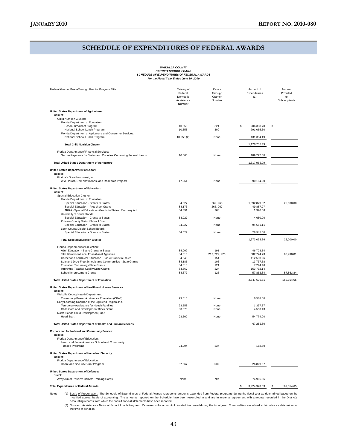#### **SCHEDULE OF EXPENDITURES OF FEDERAL AWARDS**

#### *WAKULLA COUNTY DISTRICT SCHOOL BOARD SCHEDULE OF EXPENDITURES OF FEDERAL AWARDS For the Fiscal Year Ended June 30, 2009*

| Federal Grantor/Pass-Through Grantor/Program Title                                                                   | Catalog of<br>Federal<br>Domestic<br>Assistance<br>Number | Pass -<br>Through<br>Grantor<br>Number | Amount of<br>Expenditures<br>(1) | Amount<br>Provided<br>to<br>Subrecipients |
|----------------------------------------------------------------------------------------------------------------------|-----------------------------------------------------------|----------------------------------------|----------------------------------|-------------------------------------------|
| United States Department of Agriculture:<br>Indirect:                                                                |                                                           |                                        |                                  |                                           |
| Child Nutrition Cluster:                                                                                             |                                                           |                                        |                                  |                                           |
| Florida Department of Education:                                                                                     |                                                           |                                        |                                  |                                           |
| School Breakfast Program                                                                                             | 10.553                                                    | 321                                    | \$<br>206,338.70                 | \$                                        |
| National School Lunch Program                                                                                        | 10.555                                                    | 300                                    | 791,065.60                       |                                           |
| Florida Department of Agriculture and Consumer Services:<br>National School Lunch Program                            | 10.555(2)                                                 | None                                   | 131,334.19                       |                                           |
|                                                                                                                      |                                                           |                                        |                                  |                                           |
| <b>Total Child Nutrition Cluster</b>                                                                                 |                                                           |                                        | 1,128,738.49                     |                                           |
| Florida Department of Financial Services:                                                                            |                                                           |                                        |                                  |                                           |
| Secure Payments for States and Counties Containing Federal Lands                                                     | 10.665                                                    | None                                   | 189,227.50                       |                                           |
| <b>Total United States Department of Agriculture</b>                                                                 |                                                           |                                        | 1,317,965.99                     |                                           |
| <b>United States Department of Labor:</b>                                                                            |                                                           |                                        |                                  |                                           |
| Indirect:                                                                                                            |                                                           |                                        |                                  |                                           |
| Florida's Great Northwest, Inc.:<br>WIA - Pilots, Demonstrations, and Research Projects                              | 17.261                                                    | None                                   |                                  |                                           |
|                                                                                                                      |                                                           |                                        | 90,184.50                        |                                           |
| <b>United States Department of Education:</b>                                                                        |                                                           |                                        |                                  |                                           |
| Indirect:<br>Special Education Cluster:                                                                              |                                                           |                                        |                                  |                                           |
| Florida Department of Education:                                                                                     |                                                           |                                        |                                  |                                           |
| Special Education - Grants to States                                                                                 | 84.027                                                    | 262, 263                               | 1,092,879.82                     | 25,000.00                                 |
| Special Education - Preschool Grants                                                                                 | 84.173                                                    | 266, 267                               | 49,887.27                        |                                           |
| ARRA - Special Education - Grants to States, Recovery Act                                                            | 84.391                                                    | 263                                    | 1,990.66                         |                                           |
| University of South Florida:<br>Special Education - Grants to States                                                 | 84.027                                                    | None                                   | 4,680.00                         |                                           |
| Putnam County District School Board:                                                                                 |                                                           |                                        |                                  |                                           |
| Special Education - Grants to States                                                                                 | 84.027                                                    | None                                   | 94,651.11                        |                                           |
| Leon County District School Board:<br>Special Education - Grants to States                                           |                                                           |                                        |                                  |                                           |
|                                                                                                                      | 84.027                                                    | None                                   | 28,945.00                        |                                           |
| <b>Total Special Education Cluster</b>                                                                               |                                                           |                                        | 1,273,033.86                     | 25,000.00                                 |
| Florida Department of Education:                                                                                     |                                                           |                                        |                                  |                                           |
| Adult Education - Basic Grants to States                                                                             | 84.002                                                    | 191                                    | 46,703.54                        |                                           |
| Title I Grants to Local Educational Agencies                                                                         | 84.010                                                    | 212, 222, 226                          | 682,774.73                       | 86,490.81                                 |
| Career and Technical Education - Basic Grants to States<br>Safe and Drug-Free Schools and Communities - State Grants | 84.048<br>84.186                                          | 151<br>103                             | 112,530.26<br>13,737.68          |                                           |
| <b>Education Technology State Grants</b>                                                                             | 84.318                                                    | 121                                    | 7,294.46                         |                                           |
| Improving Teacher Quality State Grants                                                                               | 84.367                                                    | 224                                    | 153,732.14                       |                                           |
| School Improvement Grants                                                                                            | 84.377                                                    | 126                                    | 57,863.84                        | 57,863.84                                 |
| <b>Total United States Department of Education</b>                                                                   |                                                           |                                        | 2,347,670.51                     | 169,354.65                                |
| United States Department of Health and Human Services:                                                               |                                                           |                                        |                                  |                                           |
| Indirect:                                                                                                            |                                                           |                                        |                                  |                                           |
| Wakulla County Health Department:<br>Community-Based Abstinence Education (CBAE)                                     | 93.010                                                    | None                                   | 6,588.00                         |                                           |
| Early Learning Coalition of the Big Bend Region, Inc.:                                                               |                                                           |                                        |                                  |                                           |
| Temporary Assistance for Needy Families                                                                              | 93.558                                                    | None                                   | 1,337.37                         |                                           |
| Child Care and Development Block Grant                                                                               | 93.575                                                    | None                                   | 4,553.43                         |                                           |
| North Florida Child Development, Inc.:<br><b>Head Start</b>                                                          | 93.600                                                    | None                                   | 54,774.00                        |                                           |
| Total United States Department of Health and Human Services                                                          |                                                           |                                        | 67,252.80                        |                                           |
|                                                                                                                      |                                                           |                                        |                                  |                                           |
| <b>Corporation for National and Community Service:</b><br>Indirect:                                                  |                                                           |                                        |                                  |                                           |
| Florida Department of Education:                                                                                     |                                                           |                                        |                                  |                                           |
| Learn and Serve America - School and Community                                                                       |                                                           |                                        |                                  |                                           |
| <b>Based Programs</b>                                                                                                | 94.004                                                    | 234                                    | 162.80                           |                                           |
| United States Department of Homeland Security:<br>Indirect:                                                          |                                                           |                                        |                                  |                                           |
| Florida Department of Education:                                                                                     |                                                           |                                        |                                  |                                           |
| Homeland Security Grant Program                                                                                      | 97.067                                                    | 532                                    | 26,829.97                        |                                           |
| <b>United States Department of Defense:</b>                                                                          |                                                           |                                        |                                  |                                           |
| Direct:                                                                                                              |                                                           |                                        |                                  |                                           |
| Army Junior Reserve Officers Training Corps                                                                          | None                                                      | N/A                                    | 74,906.96                        |                                           |
| <b>Total Expenditures of Federal Awards</b>                                                                          |                                                           |                                        | 3,924,973.53<br>\$               | 169,354.65<br>\$                          |

Notes: (1) <u>Basis</u> of <u>Presentation</u>. The Schedule of Expenditures of Federal Awards represents amounts expended from Federal programs during the fiscal year as determined based on the<br>accounting records from which the basic financia

(2)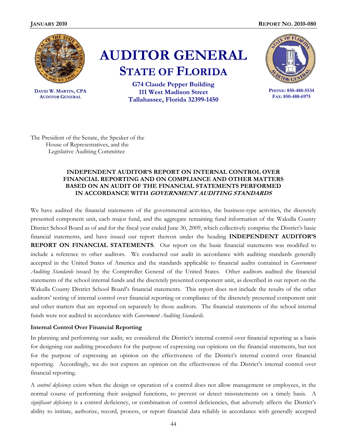

**DAVID W. MARTIN, CPA AUDITOR GENERAL**

**AUDITOR GENERAL STATE OF FLORIDA**



**G74 Claude Pepper Building 111 West Madison Street Tallahassee, Florida 32399-1450** 

**PHONE: 850-488-5534 FAX: 850-488-6975** 

The President of the Senate, the Speaker of the House of Representatives, and the Legislative Auditing Committee

#### **INDEPENDENT AUDITOR'S REPORT ON INTERNAL CONTROL OVER FINANCIAL REPORTING AND ON COMPLIANCE AND OTHER MATTERS BASED ON AN AUDIT OF THE FINANCIAL STATEMENTS PERFORMED IN ACCORDANCE WITH GOVERNMENT AUDITING STANDARDS**

We have audited the financial statements of the governmental activities, the business-type activities, the discretely presented component unit, each major fund, and the aggregate remaining fund information of the Wakulla County District School Board as of and for the fiscal year ended June 30, 2009, which collectively comprise the District's basic financial statements, and have issued our report thereon under the heading **INDEPENDENT AUDITOR'S REPORT ON FINANCIAL STATEMENTS**. Our report on the basic financial statements was modified to include a reference to other auditors. We conducted our audit in accordance with auditing standards generally accepted in the United States of America and the standards applicable to financial audits contained in *Government Auditing Standards* issued by the Comptroller General of the United States. Other auditors audited the financial statements of the school internal funds and the discretely presented component unit, as described in our report on the Wakulla County District School Board's financial statements. This report does not include the results of the other auditors' testing of internal control over financial reporting or compliance of the discretely presented component unit and other matters that are reported on separately by those auditors. The financial statements of the school internal funds were not audited in accordance with *Government Auditing Standards*.

#### **Internal Control Over Financial Reporting**

In planning and performing our audit, we considered the District's internal control over financial reporting as a basis for designing our auditing procedures for the purpose of expressing our opinions on the financial statements, but not for the purpose of expressing an opinion on the effectiveness of the District's internal control over financial reporting. Accordingly, we do not express an opinion on the effectiveness of the District's internal control over financial reporting.

A *control deficiency* exists when the design or operation of a control does not allow management or employees, in the normal course of performing their assigned functions, to prevent or detect misstatements on a timely basis. A *significant deficiency* is a control deficiency, or combination of control deficiencies, that adversely affects the District's ability to initiate, authorize, record, process, or report financial data reliably in accordance with generally accepted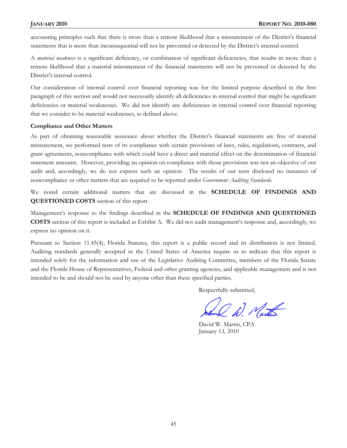accounting principles such that there is more than a remote likelihood that a misstatement of the District's financial statements that is more than inconsequential will not be prevented or detected by the District's internal control.

A *material weakness* is a significant deficiency, or combination of significant deficiencies, that results in more than a remote likelihood that a material misstatement of the financial statements will not be prevented or detected by the District's internal control.

Our consideration of internal control over financial reporting was for the limited purpose described in the first paragraph of this section and would not necessarily identify all deficiencies in internal control that might be significant deficiencies or material weaknesses. We did not identify any deficiencies in internal control over financial reporting that we consider to be material weaknesses, as defined above.

#### **Compliance and Other Matters**

As part of obtaining reasonable assurance about whether the District's financial statements are free of material misstatement, we performed tests of its compliance with certain provisions of laws, rules, regulations, contracts, and grant agreements, noncompliance with which could have a direct and material effect on the determination of financial statement amounts. However, providing an opinion on compliance with those provisions was not an objective of our audit and, accordingly, we do not express such an opinion. The results of our tests disclosed no instances of noncompliance or other matters that are required to be reported under *Government Auditing Standards*.

We noted certain additional matters that are discussed in the **SCHEDULE OF FINDINGS AND QUESTIONED COSTS** section of this report.

Management's response to the findings described in the **SCHEDULE OF FINDINGS AND QUESTIONED COSTS** section of this report is included as Exhibit A. We did not audit management's response and, accordingly, we express no opinion on it.

Pursuant to Section 11.45(4), Florida Statutes, this report is a public record and its distribution is not limited. Auditing standards generally accepted in the United States of America require us to indicate that this report is intended solely for the information and use of the Legislative Auditing Committee, members of the Florida Senate and the Florida House of Representatives, Federal and other granting agencies, and applicable management and is not intended to be and should not be used by anyone other than these specified parties.

Respectfully submitted,

6. Martin

David W. Martin, CPA January 13, 2010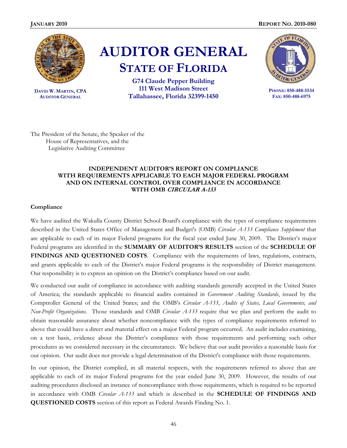

**DAVID W. MARTIN, CPA AUDITOR GENERAL**

# **AUDITOR GENERAL STATE OF FLORIDA**

**G74 Claude Pepper Building 111 West Madison Street Tallahassee, Florida 32399-1450** 



**PHONE: 850-488-5534 FAX: 850-488-6975** 

The President of the Senate, the Speaker of the House of Representatives, and the Legislative Auditing Committee

## **INDEPENDENT AUDITOR'S REPORT ON COMPLIANCE WITH REQUIREMENTS APPLICABLE TO EACH MAJOR FEDERAL PROGRAM AND ON INTERNAL CONTROL OVER COMPLIANCE IN ACCORDANCE WITH OMB CIRCULAR A-133**

## **Compliance**

We have audited the Wakulla County District School Board's compliance with the types of compliance requirements described in the United States Office of Management and Budget's (OMB) *Circular A-133 Compliance Supplement* that are applicable to each of its major Federal programs for the fiscal year ended June 30, 2009. The District's major Federal programs are identified in the **SUMMARY OF AUDITOR'S RESULTS** section of the **SCHEDULE OF FINDINGS AND QUESTIONED COSTS**. Compliance with the requirements of laws, regulations, contracts, and grants applicable to each of the District's major Federal programs is the responsibility of District management. Our responsibility is to express an opinion on the District's compliance based on our audit.

We conducted our audit of compliance in accordance with auditing standards generally accepted in the United States of America; the standards applicable to financial audits contained in *Government Auditing Standards*, issued by the Comptroller General of the United States; and the OMB's *Circular A-133*, *Audits of States, Local Governments, and Non-Profit Organizations*. Those standards and OMB *Circular A-133* require that we plan and perform the audit to obtain reasonable assurance about whether noncompliance with the types of compliance requirements referred to above that could have a direct and material effect on a major Federal program occurred. An audit includes examining, on a test basis, evidence about the District's compliance with those requirements and performing such other procedures as we considered necessary in the circumstances. We believe that our audit provides a reasonable basis for our opinion. Our audit does not provide a legal determination of the District's compliance with those requirements.

In our opinion, the District complied, in all material respects, with the requirements referred to above that are applicable to each of its major Federal programs for the year ended June 30, 2009. However, the results of our auditing procedures disclosed an instance of noncompliance with those requirements, which is required to be reported in accordance with OMB *Circular A-133* and which is described in the **SCHEDULE OF FINDINGS AND QUESTIONED COSTS** section of this report as Federal Awards Finding No. 1.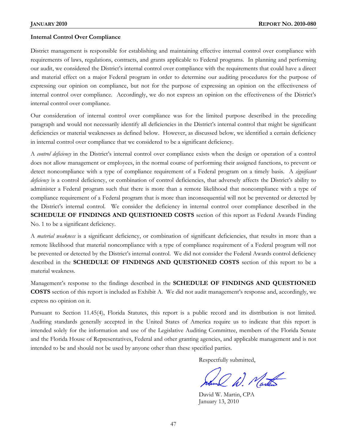#### **Internal Control Over Compliance**

District management is responsible for establishing and maintaining effective internal control over compliance with requirements of laws, regulations, contracts, and grants applicable to Federal programs. In planning and performing our audit, we considered the District's internal control over compliance with the requirements that could have a direct and material effect on a major Federal program in order to determine our auditing procedures for the purpose of expressing our opinion on compliance, but not for the purpose of expressing an opinion on the effectiveness of internal control over compliance. Accordingly, we do not express an opinion on the effectiveness of the District's internal control over compliance.

Our consideration of internal control over compliance was for the limited purpose described in the preceding paragraph and would not necessarily identify all deficiencies in the District's internal control that might be significant deficiencies or material weaknesses as defined below. However, as discussed below, we identified a certain deficiency in internal control over compliance that we considered to be a significant deficiency.

A *control deficiency* in the District's internal control over compliance exists when the design or operation of a control does not allow management or employees, in the normal course of performing their assigned functions, to prevent or detect noncompliance with a type of compliance requirement of a Federal program on a timely basis. A *significant deficiency* is a control deficiency, or combination of control deficiencies, that adversely affects the District's ability to administer a Federal program such that there is more than a remote likelihood that noncompliance with a type of compliance requirement of a Federal program that is more than inconsequential will not be prevented or detected by the District's internal control. We consider the deficiency in internal control over compliance described in the **SCHEDULE OF FINDINGS AND QUESTIONED COSTS** section of this report as Federal Awards Finding No. 1 to be a significant deficiency.

A *material weakness* is a significant deficiency, or combination of significant deficiencies, that results in more than a remote likelihood that material noncompliance with a type of compliance requirement of a Federal program will not be prevented or detected by the District's internal control. We did not consider the Federal Awards control deficiency described in the **SCHEDULE OF FINDINGS AND QUESTIONED COSTS** section of this report to be a material weakness.

Management's response to the findings described in the **SCHEDULE OF FINDINGS AND QUESTIONED COSTS** section of this report is included as Exhibit A. We did not audit management's response and, accordingly, we express no opinion on it.

Pursuant to Section 11.45(4), Florida Statutes, this report is a public record and its distribution is not limited. Auditing standards generally accepted in the United States of America require us to indicate that this report is intended solely for the information and use of the Legislative Auditing Committee, members of the Florida Senate and the Florida House of Representatives, Federal and other granting agencies, and applicable management and is not intended to be and should not be used by anyone other than these specified parties.

Respectfully submitted,

David W. Martin, CPA January 13, 2010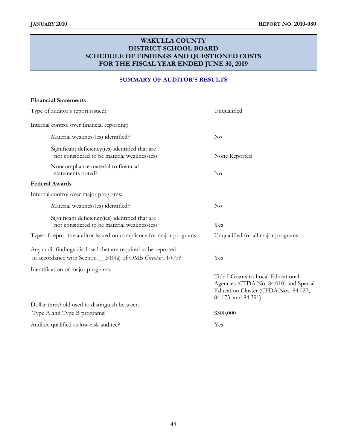## **WAKULLA COUNTY DISTRICT SCHOOL BOARD SCHEDULE OF FINDINGS AND QUESTIONED COSTS FOR THE FISCAL YEAR ENDED JUNE 30, 2009**

## **SUMMARY OF AUDITOR'S RESULTS**

## **Financial Statements**

| Type of auditor's report issued:                                                                                          | Unqualified                                                                                                                                  |  |  |
|---------------------------------------------------------------------------------------------------------------------------|----------------------------------------------------------------------------------------------------------------------------------------------|--|--|
| Internal control over financial reporting:                                                                                |                                                                                                                                              |  |  |
| Material weakness(es) identified?                                                                                         | $\rm No$                                                                                                                                     |  |  |
| Significant deficiency(ies) identified that are<br>not considered to be material weakness(es)?                            | None Reported                                                                                                                                |  |  |
| Noncompliance material to financial<br>statements noted?                                                                  | $\rm No$                                                                                                                                     |  |  |
| <b>Federal Awards</b>                                                                                                     |                                                                                                                                              |  |  |
| Internal control over major programs:                                                                                     |                                                                                                                                              |  |  |
| Material weakness(es) identified?                                                                                         | $\rm No$                                                                                                                                     |  |  |
| Significant deficiency(ies) identified that are<br>not considered to be material weakness(es)?                            | Yes                                                                                                                                          |  |  |
| Type of report the auditor issued on compliance for major programs:                                                       | Unqualified for all major programs                                                                                                           |  |  |
| Any audit findings disclosed that are required to be reported<br>in accordance with Section 510(a) of OMB Circular A-133? | Yes                                                                                                                                          |  |  |
| Identification of major programs:                                                                                         | Title I Grants to Local Educational<br>Agencies (CFDA No. 84.010) and Special<br>Education Cluster (CFDA Nos. 84.027,<br>84.173, and 84.391) |  |  |
| Dollar threshold used to distinguish between                                                                              |                                                                                                                                              |  |  |
| Type A and Type B programs:                                                                                               | \$300,000                                                                                                                                    |  |  |
| Auditee qualified as low-risk auditee?                                                                                    | Yes                                                                                                                                          |  |  |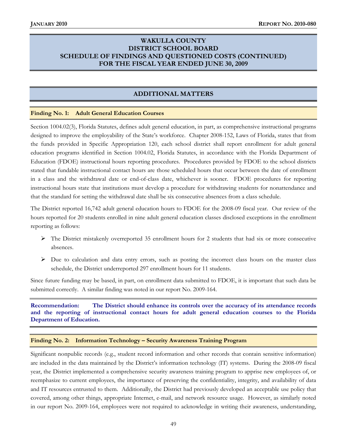## **WAKULLA COUNTY DISTRICT SCHOOL BOARD SCHEDULE OF FINDINGS AND QUESTIONED COSTS (CONTINUED) FOR THE FISCAL YEAR ENDED JUNE 30, 2009**

## **ADDITIONAL MATTERS**

#### **Finding No. 1: Adult General Education Courses**

Section 1004.02(3), Florida Statutes, defines adult general education, in part, as comprehensive instructional programs designed to improve the employability of the State's workforce. Chapter 2008-152, Laws of Florida, states that from the funds provided in Specific Appropriation 120, each school district shall report enrollment for adult general education programs identified in Section 1004.02, Florida Statutes, in accordance with the Florida Department of Education (FDOE) instructional hours reporting procedures. Procedures provided by FDOE to the school districts stated that fundable instructional contact hours are those scheduled hours that occur between the date of enrollment in a class and the withdrawal date or end-of-class date, whichever is sooner. FDOE procedures for reporting instructional hours state that institutions must develop a procedure for withdrawing students for nonattendance and that the standard for setting the withdrawal date shall be six consecutive absences from a class schedule.

The District reported 16,742 adult general education hours to FDOE for the 2008-09 fiscal year. Our review of the hours reported for 20 students enrolled in nine adult general education classes disclosed exceptions in the enrollment reporting as follows:

- $\triangleright$  The District mistakenly overreported 35 enrollment hours for 2 students that had six or more consecutive absences.
- $\triangleright$  Due to calculation and data entry errors, such as posting the incorrect class hours on the master class schedule, the District underreported 297 enrollment hours for 11 students.

Since future funding may be based, in part, on enrollment data submitted to FDOE, it is important that such data be submitted correctly. A similar finding was noted in our report No. 2009-164.

**Recommendation: The District should enhance its controls over the accuracy of its attendance records and the reporting of instructional contact hours for adult general education courses to the Florida Department of Education.** 

#### **Finding No. 2: Information Technology – Security Awareness Training Program**

Significant nonpublic records (e.g., student record information and other records that contain sensitive information) are included in the data maintained by the District's information technology (IT) systems. During the 2008-09 fiscal year, the District implemented a comprehensive security awareness training program to apprise new employees of, or reemphasize to current employees, the importance of preserving the confidentiality, integrity, and availability of data and IT resources entrusted to them. Additionally, the District had previously developed an acceptable use policy that covered, among other things, appropriate Internet, e-mail, and network resource usage. However, as similarly noted in our report No. 2009-164, employees were not required to acknowledge in writing their awareness, understanding,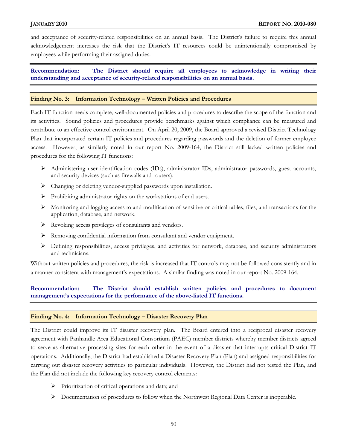and acceptance of security-related responsibilities on an annual basis. The District's failure to require this annual acknowledgement increases the risk that the District's IT resources could be unintentionally compromised by employees while performing their assigned duties.

**Recommendation: The District should require all employees to acknowledge in writing their understanding and acceptance of security-related responsibilities on an annual basis.** 

#### **Finding No. 3: Information Technology – Written Policies and Procedures**

Each IT function needs complete, well-documented policies and procedures to describe the scope of the function and its activities. Sound policies and procedures provide benchmarks against which compliance can be measured and contribute to an effective control environment. On April 20, 2009, the Board approved a revised District Technology Plan that incorporated certain IT policies and procedures regarding passwords and the deletion of former employee access. However, as similarly noted in our report No. 2009-164, the District still lacked written policies and procedures for the following IT functions:

- ¾ Administering user identification codes (IDs), administrator IDs, administrator passwords, guest accounts, and security devices (such as firewalls and routers).
- $\triangleright$  Changing or deleting vendor-supplied passwords upon installation.
- $\triangleright$  Prohibiting administrator rights on the workstations of end users.
- ¾ Monitoring and logging access to and modification of sensitive or critical tables, files, and transactions for the application, database, and network.
- $\triangleright$  Revoking access privileges of consultants and vendors.
- ¾ Removing confidential information from consultant and vendor equipment.
- ¾ Defining responsibilities, access privileges, and activities for network, database, and security administrators and technicians.

Without written policies and procedures, the risk is increased that IT controls may not be followed consistently and in a manner consistent with management's expectations. A similar finding was noted in our report No. 2009-164.

**Recommendation: The District should establish written policies and procedures to document management's expectations for the performance of the above-listed IT functions.** 

#### **Finding No. 4: Information Technology – Disaster Recovery Plan**

The District could improve its IT disaster recovery plan. The Board entered into a reciprocal disaster recovery agreement with Panhandle Area Educational Consortium (PAEC) member districts whereby member districts agreed to serve as alternative processing sites for each other in the event of a disaster that interrupts critical District IT operations. Additionally, the District had established a Disaster Recovery Plan (Plan) and assigned responsibilities for carrying out disaster recovery activities to particular individuals. However, the District had not tested the Plan, and the Plan did not include the following key recovery control elements:

- $\triangleright$  Prioritization of critical operations and data; and
- ¾ Documentation of procedures to follow when the Northwest Regional Data Center is inoperable.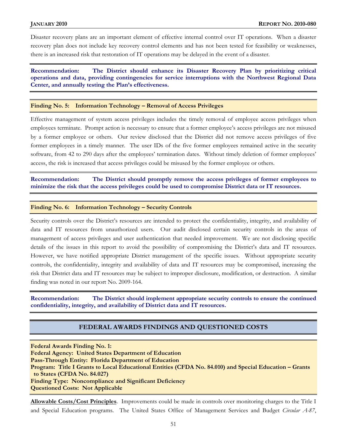Disaster recovery plans are an important element of effective internal control over IT operations. When a disaster recovery plan does not include key recovery control elements and has not been tested for feasibility or weaknesses, there is an increased risk that restoration of IT operations may be delayed in the event of a disaster.

**Recommendation: The District should enhance its Disaster Recovery Plan by prioritizing critical operations and data, providing contingencies for service interruptions with the Northwest Regional Data Center, and annually testing the Plan's effectiveness.** 

#### **Finding No. 5: Information Technology – Removal of Access Privileges**

Effective management of system access privileges includes the timely removal of employee access privileges when employees terminate. Prompt action is necessary to ensure that a former employee's access privileges are not misused by a former employee or others. Our review disclosed that the District did not remove access privileges of five former employees in a timely manner. The user IDs of the five former employees remained active in the security software, from 42 to 290 days after the employees' termination dates. Without timely deletion of former employees' access, the risk is increased that access privileges could be misused by the former employee or others.

**Recommendation: The District should promptly remove the access privileges of former employees to minimize the risk that the access privileges could be used to compromise District data or IT resources.** 

#### **Finding No. 6: Information Technology – Security Controls**

Security controls over the District's resources are intended to protect the confidentiality, integrity, and availability of data and IT resources from unauthorized users. Our audit disclosed certain security controls in the areas of management of access privileges and user authentication that needed improvement. We are not disclosing specific details of the issues in this report to avoid the possibility of compromising the District's data and IT resources. However, we have notified appropriate District management of the specific issues. Without appropriate security controls, the confidentiality, integrity and availability of data and IT resources may be compromised, increasing the risk that District data and IT resources may be subject to improper disclosure, modification, or destruction. A similar finding was noted in our report No. 2009-164.

#### **Recommendation: The District should implement appropriate security controls to ensure the continued confidentiality, integrity, and availability of District data and IT resources.**

#### **FEDERAL AWARDS FINDINGS AND QUESTIONED COSTS**

**Federal Awards Finding No. 1: Federal Agency: United States Department of Education Pass-Through Entity: Florida Department of Education Program: Title I Grants to Local Educational Entities (CFDA No. 84.010) and Special Education – Grants to States (CFDA No. 84.027) Finding Type: Noncompliance and Significant Deficiency Questioned Costs: Not Applicable** 

**Allowable Costs/Cost Principles**. Improvements could be made in controls over monitoring charges to the Title I and Special Education programs. The United States Office of Management Services and Budget *Circular A-87*,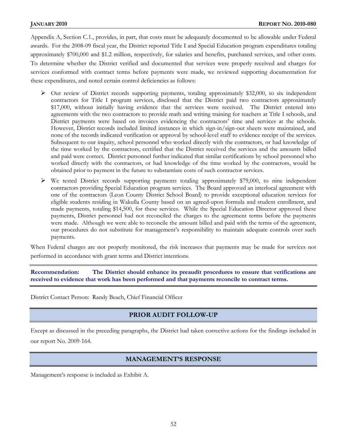Appendix A, Section C.1., provides, in part, that costs must be adequately documented to be allowable under Federal awards. For the 2008-09 fiscal year, the District reported Title I and Special Education program expenditures totaling approximately \$700,000 and \$1.2 million, respectively, for salaries and benefits, purchased services, and other costs. To determine whether the District verified and documented that services were properly received and charges for services conformed with contract terms before payments were made, we reviewed supporting documentation for these expenditures, and noted certain control deficiencies as follows:

- ¾ Our review of District records supporting payments, totaling approximately \$32,000, to six independent contractors for Title I program services, disclosed that the District paid two contractors approximately \$17,000, without initially having evidence that the services were received. The District entered into agreements with the two contractors to provide math and writing training for teachers at Title I schools, and District payments were based on invoices evidencing the contractors' time and services at the schools. However, District records included limited instances in which sign-in/sign-out sheets were maintained, and none of the records indicated verification or approval by school-level staff to evidence receipt of the services. Subsequent to our inquiry, school personnel who worked directly with the contractors, or had knowledge of the time worked by the contractors, certified that the District received the services and the amounts billed and paid were correct. District personnel further indicated that similar certifications by school personnel who worked directly with the contractors, or had knowledge of the time worked by the contractors, would be obtained prior to payment in the future to substantiate costs of such contractor services.
- We tested District records supporting payments totaling approximately \$79,000, to nine independent contractors providing Special Education program services. The Board approved an interlocal agreement with one of the contractors (Leon County District School Board) to provide exceptional education services for eligible students residing in Wakulla County based on an agreed-upon formula and student enrollment, and made payments, totaling \$14,500, for these services. While the Special Education Director approved these payments, District personnel had not reconciled the charges to the agreement terms before the payments were made. Although we were able to reconcile the amount billed and paid with the terms of the agreement, our procedures do not substitute for management's responsibility to maintain adequate controls over such payments.

When Federal charges are not properly monitored, the risk increases that payments may be made for services not performed in accordance with grant terms and District intentions.

**Recommendation: The District should enhance its preaudit procedures to ensure that verifications are received to evidence that work has been performed and that payments reconcile to contract terms.** 

District Contact Person: Randy Beach, Chief Financial Officer

## **PRIOR AUDIT FOLLOW-UP**

Except as discussed in the preceding paragraphs, the District had taken corrective actions for the findings included in our report No. 2009-164.

#### **MANAGEMENT'S RESPONSE**

Management's response is included as Exhibit A.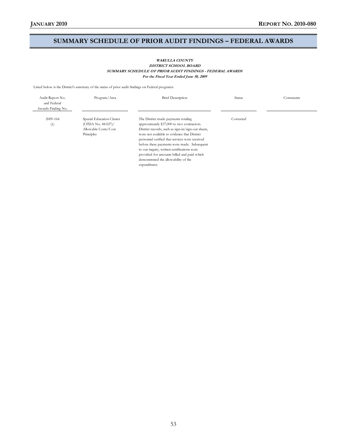## **SUMMARY SCHEDULE OF PRIOR AUDIT FINDINGS – FEDERAL AWARDS**

#### **WAKULLA COUNTY DISTRICT SCHOOL BOARD SUMMARY SCHEDULE OF PRIOR AUDIT FINDINGS - FEDERAL AWARDS For the Fiscal Year Ended June 30, 2009**

Listed below is the District's summary of the status of prior audit findings on Federal programs:

| Audit Report No.<br>and Federal<br>Awards Finding No. | Program/Area                                                                           | <b>Brief Description</b>                                                                                                                                                                                                                                                                                                                                                                                                                       | <b>Status</b> | Comments |
|-------------------------------------------------------|----------------------------------------------------------------------------------------|------------------------------------------------------------------------------------------------------------------------------------------------------------------------------------------------------------------------------------------------------------------------------------------------------------------------------------------------------------------------------------------------------------------------------------------------|---------------|----------|
| 2009-164<br>(1)                                       | Special Education Cluster<br>(CFDA No. 84.027) /<br>Allowable Costs/Cost<br>Principles | The District made payments totaling<br>approximately \$37,000 to two contractors.<br>District records, such as sign-in/sign-out sheets,<br>were not available to evidence that District<br>personnel verified that services were received<br>before these payments were made. Subsequent<br>to our inquiry, written certifications were<br>provided for amounts billed and paid which<br>demonstrated the allowability of the<br>expenditures. | Corrected     |          |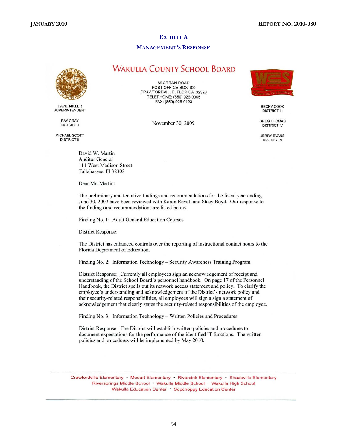#### **EXHIBIT A**

#### **MANAGEMENT'S RESPONSE**

**WAKULLA COUNTY SCHOOL BOARD** 



**DAVID MILLER SUPERINTENDENT** 

> **RAY GRAY DISTRICT I**

69 ARRAN ROAD POST OFFICE BOX 100 CRAWFORDVILLE, FLORIDA 32326 TELEPHONE: (850) 926-0065 FAX: (850) 926-0123

November 30, 2009



**BECKY COOK DISTRICT III** 

**GREG THOMAS DISTRICT IV** 

**JERRY FVANS DISTRICT V** 

MICHAEL SCOTT **DISTRICT II** 

> David W. Martin **Auditor General** 111 West Madison Street Tallahassee, Fl 32302

Dear Mr. Martin:

The preliminary and tentative findings and recommendations for the fiscal year ending June 30, 2009 have been reviewed with Karen Revell and Stacy Boyd. Our response to the findings and recommendations are listed below.

Finding No. 1: Adult General Education Courses

**District Response:** 

The District has enhanced controls over the reporting of instructional contact hours to the Florida Department of Education.

Finding No. 2: Information Technology - Security Awareness Training Program

District Response: Currently all employees sign an acknowledgement of receipt and understanding of the School Board's personnel handbook. On page 17 of the Personnel Handbook, the District spells out its network access statement and policy. To clarify the employee's understanding and acknowledgement of the District's network policy and their security-related responsibilities, all employees will sign a sign a statement of acknowledgement that clearly states the security-related responsibilities of the employee.

Finding No. 3: Information Technology - Written Policies and Procedures

District Response: The District will establish written policies and procedures to document expectations for the performance of the identified IT functions. The written policies and procedures will be implemented by May 2010.

Crawfordville Elementary • Medart Elementary • Riversink Elementary • Shadeville Elementary Riversprings Middle School . Wakulla Middle School . Wakulla High School Wakulla Education Center • Sopchoppy Education Center